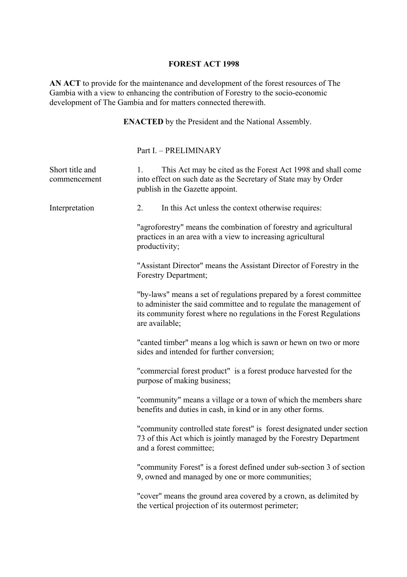## **FOREST ACT 1998**

**AN ACT** to provide for the maintenance and development of the forest resources of The Gambia with a view to enhancing the contribution of Forestry to the socio-economic development of The Gambia and for matters connected therewith.

**ENACTED** by the President and the National Assembly.

Part I. – PRELIMINARY

| Short title and<br>commencement | 1.                                                                                                                                                                                                                                                | This Act may be cited as the Forest Act 1998 and shall come<br>into effect on such date as the Secretary of State may by Order<br>publish in the Gazette appoint.                                                |
|---------------------------------|---------------------------------------------------------------------------------------------------------------------------------------------------------------------------------------------------------------------------------------------------|------------------------------------------------------------------------------------------------------------------------------------------------------------------------------------------------------------------|
| Interpretation                  | 2.                                                                                                                                                                                                                                                | In this Act unless the context otherwise requires:                                                                                                                                                               |
|                                 | "agroforestry" means the combination of forestry and agricultural<br>practices in an area with a view to increasing agricultural<br>productivity;<br>"Assistant Director" means the Assistant Director of Forestry in the<br>Forestry Department; |                                                                                                                                                                                                                  |
|                                 |                                                                                                                                                                                                                                                   |                                                                                                                                                                                                                  |
|                                 | are available;                                                                                                                                                                                                                                    | "by-laws" means a set of regulations prepared by a forest committee<br>to administer the said committee and to regulate the management of<br>its community forest where no regulations in the Forest Regulations |
|                                 | "canted timber" means a log which is sawn or hewn on two or more<br>sides and intended for further conversion;                                                                                                                                    |                                                                                                                                                                                                                  |
|                                 |                                                                                                                                                                                                                                                   | "commercial forest product" is a forest produce harvested for the<br>purpose of making business;                                                                                                                 |
|                                 |                                                                                                                                                                                                                                                   | "community" means a village or a town of which the members share<br>benefits and duties in cash, in kind or in any other forms.                                                                                  |
|                                 |                                                                                                                                                                                                                                                   | "community controlled state forest" is forest designated under section<br>73 of this Act which is jointly managed by the Forestry Department<br>and a forest committee;                                          |
|                                 |                                                                                                                                                                                                                                                   | "community Forest" is a forest defined under sub-section 3 of section<br>9, owned and managed by one or more communities;                                                                                        |
|                                 |                                                                                                                                                                                                                                                   | "cover" means the ground area covered by a crown, as delimited by<br>the vertical projection of its outermost perimeter;                                                                                         |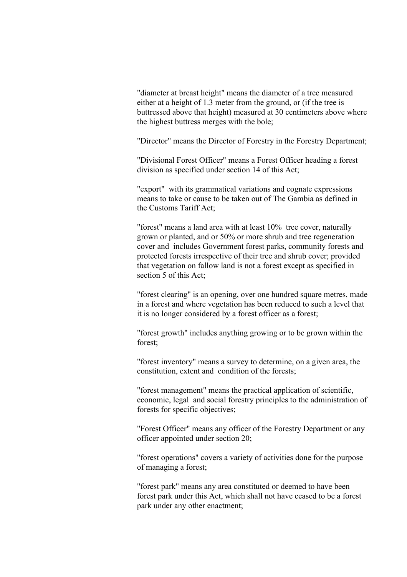"diameter at breast height" means the diameter of a tree measured either at a height of 1.3 meter from the ground, or (if the tree is buttressed above that height) measured at 30 centimeters above where the highest buttress merges with the bole;

"Director" means the Director of Forestry in the Forestry Department;

"Divisional Forest Officer" means a Forest Officer heading a forest division as specified under section 14 of this Act;

"export" with its grammatical variations and cognate expressions means to take or cause to be taken out of The Gambia as defined in the Customs Tariff Act;

"forest" means a land area with at least 10% tree cover, naturally grown or planted, and or 50% or more shrub and tree regeneration cover and includes Government forest parks, community forests and protected forests irrespective of their tree and shrub cover; provided that vegetation on fallow land is not a forest except as specified in section 5 of this Act;

"forest clearing" is an opening, over one hundred square metres, made in a forest and where vegetation has been reduced to such a level that it is no longer considered by a forest officer as a forest;

"forest growth" includes anything growing or to be grown within the forest;

"forest inventory" means a survey to determine, on a given area, the constitution, extent and condition of the forests;

"forest management" means the practical application of scientific, economic, legal and social forestry principles to the administration of forests for specific objectives;

"Forest Officer" means any officer of the Forestry Department or any officer appointed under section 20;

"forest operations" covers a variety of activities done for the purpose of managing a forest;

"forest park" means any area constituted or deemed to have been forest park under this Act, which shall not have ceased to be a forest park under any other enactment;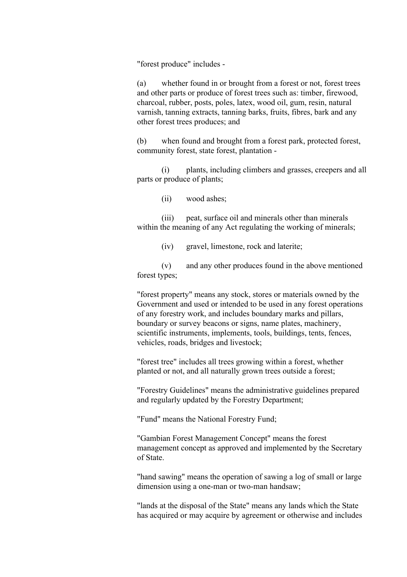"forest produce" includes -

(a) whether found in or brought from a forest or not, forest trees and other parts or produce of forest trees such as: timber, firewood, charcoal, rubber, posts, poles, latex, wood oil, gum, resin, natural varnish, tanning extracts, tanning barks, fruits, fibres, bark and any other forest trees produces; and

(b) when found and brought from a forest park, protected forest, community forest, state forest, plantation -

(i) plants, including climbers and grasses, creepers and all parts or produce of plants;

(ii) wood ashes;

(iii) peat, surface oil and minerals other than minerals within the meaning of any Act regulating the working of minerals;

(iv) gravel, limestone, rock and laterite;

(v) and any other produces found in the above mentioned forest types;

"forest property" means any stock, stores or materials owned by the Government and used or intended to be used in any forest operations of any forestry work, and includes boundary marks and pillars, boundary or survey beacons or signs, name plates, machinery, scientific instruments, implements, tools, buildings, tents, fences, vehicles, roads, bridges and livestock;

"forest tree" includes all trees growing within a forest, whether planted or not, and all naturally grown trees outside a forest;

"Forestry Guidelines" means the administrative guidelines prepared and regularly updated by the Forestry Department;

"Fund" means the National Forestry Fund;

"Gambian Forest Management Concept" means the forest management concept as approved and implemented by the Secretary of State.

"hand sawing" means the operation of sawing a log of small or large dimension using a one-man or two-man handsaw;

"lands at the disposal of the State" means any lands which the State has acquired or may acquire by agreement or otherwise and includes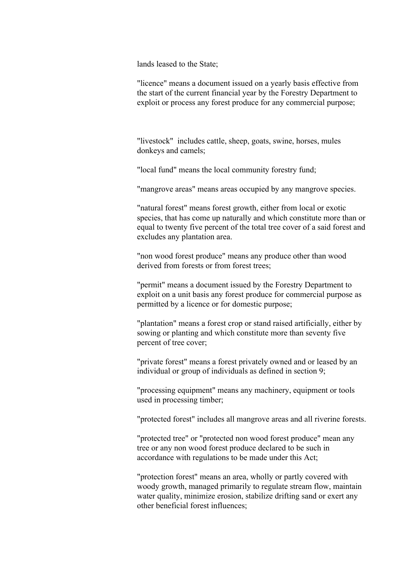lands leased to the State;

"licence" means a document issued on a yearly basis effective from the start of the current financial year by the Forestry Department to exploit or process any forest produce for any commercial purpose;

"livestock" includes cattle, sheep, goats, swine, horses, mules donkeys and camels;

"local fund" means the local community forestry fund;

"mangrove areas" means areas occupied by any mangrove species.

"natural forest" means forest growth, either from local or exotic species, that has come up naturally and which constitute more than or equal to twenty five percent of the total tree cover of a said forest and excludes any plantation area.

"non wood forest produce" means any produce other than wood derived from forests or from forest trees;

"permit" means a document issued by the Forestry Department to exploit on a unit basis any forest produce for commercial purpose as permitted by a licence or for domestic purpose;

"plantation" means a forest crop or stand raised artificially, either by sowing or planting and which constitute more than seventy five percent of tree cover;

"private forest" means a forest privately owned and or leased by an individual or group of individuals as defined in section 9;

"processing equipment" means any machinery, equipment or tools used in processing timber;

"protected forest" includes all mangrove areas and all riverine forests.

"protected tree" or "protected non wood forest produce" mean any tree or any non wood forest produce declared to be such in accordance with regulations to be made under this Act;

"protection forest" means an area, wholly or partly covered with woody growth, managed primarily to regulate stream flow, maintain water quality, minimize erosion, stabilize drifting sand or exert any other beneficial forest influences;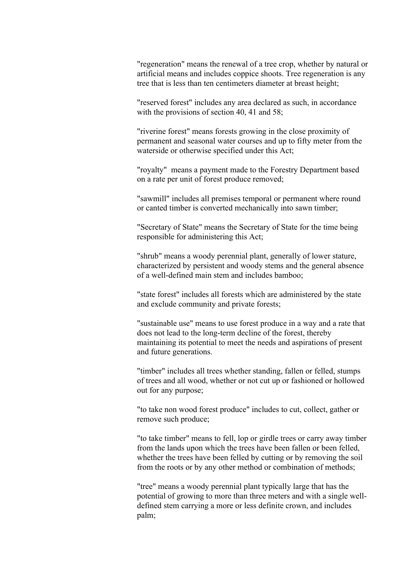"regeneration" means the renewal of a tree crop, whether by natural or artificial means and includes coppice shoots. Tree regeneration is any tree that is less than ten centimeters diameter at breast height;

"reserved forest" includes any area declared as such, in accordance with the provisions of section 40, 41 and 58;

"riverine forest" means forests growing in the close proximity of permanent and seasonal water courses and up to fifty meter from the waterside or otherwise specified under this Act;

"royalty" means a payment made to the Forestry Department based on a rate per unit of forest produce removed;

"sawmill" includes all premises temporal or permanent where round or canted timber is converted mechanically into sawn timber;

"Secretary of State" means the Secretary of State for the time being responsible for administering this Act;

"shrub" means a woody perennial plant, generally of lower stature, characterized by persistent and woody stems and the general absence of a well-defined main stem and includes bamboo;

"state forest" includes all forests which are administered by the state and exclude community and private forests;

"sustainable use" means to use forest produce in a way and a rate that does not lead to the long-term decline of the forest, thereby maintaining its potential to meet the needs and aspirations of present and future generations.

"timber" includes all trees whether standing, fallen or felled, stumps of trees and all wood, whether or not cut up or fashioned or hollowed out for any purpose;

"to take non wood forest produce" includes to cut, collect, gather or remove such produce;

"to take timber" means to fell, lop or girdle trees or carry away timber from the lands upon which the trees have been fallen or been felled, whether the trees have been felled by cutting or by removing the soil from the roots or by any other method or combination of methods;

"tree" means a woody perennial plant typically large that has the potential of growing to more than three meters and with a single welldefined stem carrying a more or less definite crown, and includes palm;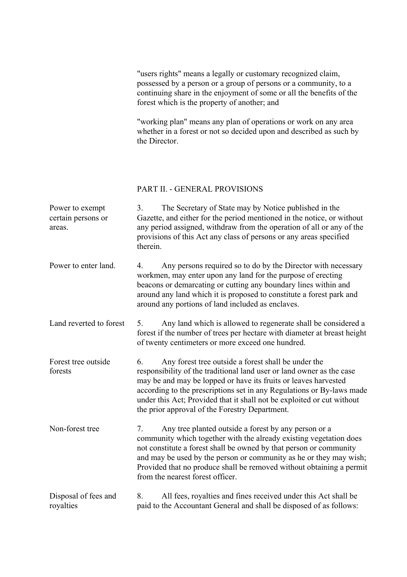"users rights" means a legally or customary recognized claim, possessed by a person or a group of persons or a community, to a continuing share in the enjoyment of some or all the benefits of the forest which is the property of another; and

"working plan" means any plan of operations or work on any area whether in a forest or not so decided upon and described as such by the Director.

#### PART II. - GENERAL PROVISIONS

| Power to exempt<br>certain persons or<br>areas. | The Secretary of State may by Notice published in the<br>3 <sub>1</sub><br>Gazette, and either for the period mentioned in the notice, or without<br>any period assigned, withdraw from the operation of all or any of the<br>provisions of this Act any class of persons or any areas specified<br>therein.                                                                                               |
|-------------------------------------------------|------------------------------------------------------------------------------------------------------------------------------------------------------------------------------------------------------------------------------------------------------------------------------------------------------------------------------------------------------------------------------------------------------------|
| Power to enter land.                            | Any persons required so to do by the Director with necessary<br>4.<br>workmen, may enter upon any land for the purpose of erecting<br>beacons or demarcating or cutting any boundary lines within and<br>around any land which it is proposed to constitute a forest park and<br>around any portions of land included as enclaves.                                                                         |
| Land reverted to forest                         | Any land which is allowed to regenerate shall be considered a<br>5.<br>forest if the number of trees per hectare with diameter at breast height<br>of twenty centimeters or more exceed one hundred.                                                                                                                                                                                                       |
| Forest tree outside<br>forests                  | Any forest tree outside a forest shall be under the<br>6.<br>responsibility of the traditional land user or land owner as the case<br>may be and may be lopped or have its fruits or leaves harvested<br>according to the prescriptions set in any Regulations or By-laws made<br>under this Act; Provided that it shall not be exploited or cut without<br>the prior approval of the Forestry Department. |
| Non-forest tree                                 | Any tree planted outside a forest by any person or a<br>7.<br>community which together with the already existing vegetation does<br>not constitute a forest shall be owned by that person or community<br>and may be used by the person or community as he or they may wish;<br>Provided that no produce shall be removed without obtaining a permit<br>from the nearest forest officer.                   |
| Disposal of fees and<br>royalties               | All fees, royalties and fines received under this Act shall be<br>8.<br>paid to the Accountant General and shall be disposed of as follows:                                                                                                                                                                                                                                                                |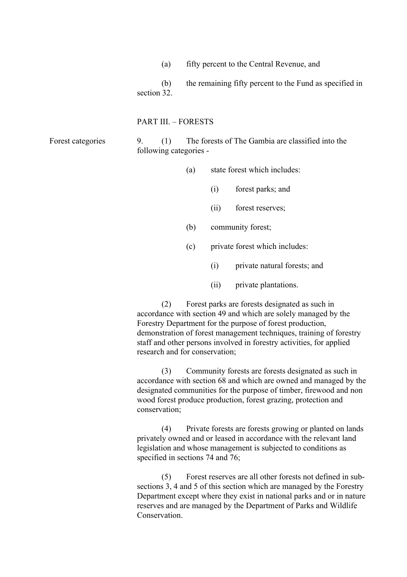(a) fifty percent to the Central Revenue, and

(b) the remaining fifty percent to the Fund as specified in section 32.

#### PART III. – FORESTS

Forest categories

9. (1) The forests of The Gambia are classified into the following categories -

- (a) state forest which includes:
	- (i) forest parks; and
	- (ii) forest reserves;
- (b) community forest;
- (c) private forest which includes:
	- (i) private natural forests; and
	- (ii) private plantations.

(2) Forest parks are forests designated as such in accordance with section 49 and which are solely managed by the Forestry Department for the purpose of forest production, demonstration of forest management techniques, training of forestry staff and other persons involved in forestry activities, for applied research and for conservation;

(3) Community forests are forests designated as such in accordance with section 68 and which are owned and managed by the designated communities for the purpose of timber, firewood and non wood forest produce production, forest grazing, protection and conservation;

(4) Private forests are forests growing or planted on lands privately owned and or leased in accordance with the relevant land legislation and whose management is subjected to conditions as specified in sections 74 and 76;

(5) Forest reserves are all other forests not defined in subsections 3, 4 and 5 of this section which are managed by the Forestry Department except where they exist in national parks and or in nature reserves and are managed by the Department of Parks and Wildlife **Conservation**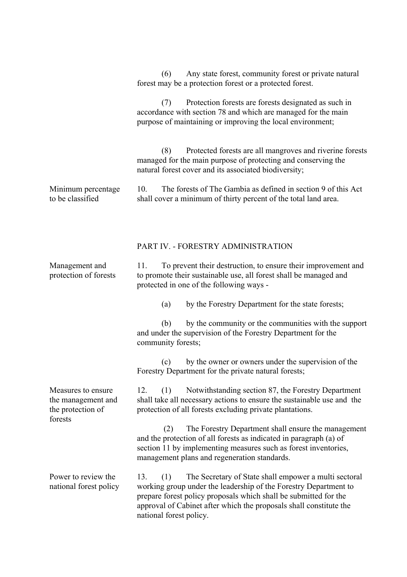Minimum percentage to be classified (6) Any state forest, community forest or private natural forest may be a protection forest or a protected forest. (7) Protection forests are forests designated as such in accordance with section 78 and which are managed for the main purpose of maintaining or improving the local environment; (8) Protected forests are all mangroves and riverine forests managed for the main purpose of protecting and conserving the natural forest cover and its associated biodiversity; 10. The forests of The Gambia as defined in section 9 of this Act shall cover a minimum of thirty percent of the total land area. Management and protection of forests Measures to ensure the management and the protection of forests Power to review the national forest policy PART IV. - FORESTRY ADMINISTRATION 11. To prevent their destruction, to ensure their improvement and to promote their sustainable use, all forest shall be managed and protected in one of the following ways - (a) by the Forestry Department for the state forests; (b) by the community or the communities with the support and under the supervision of the Forestry Department for the community forests; (c) by the owner or owners under the supervision of the Forestry Department for the private natural forests; 12. (1) Notwithstanding section 87, the Forestry Department shall take all necessary actions to ensure the sustainable use and the protection of all forests excluding private plantations. (2) The Forestry Department shall ensure the management and the protection of all forests as indicated in paragraph (a) of section 11 by implementing measures such as forest inventories, management plans and regeneration standards. 13. (1) The Secretary of State shall empower a multi sectoral working group under the leadership of the Forestry Department to prepare forest policy proposals which shall be submitted for the approval of Cabinet after which the proposals shall constitute the national forest policy.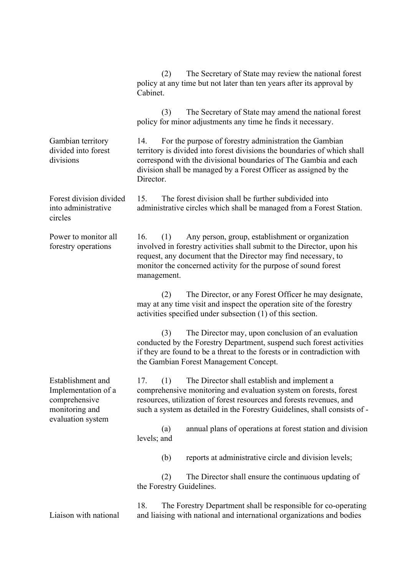|                                                                                                  | The Secretary of State may review the national forest<br>(2)<br>policy at any time but not later than ten years after its approval by<br>Cabinet.                                                                                                                                              |  |  |  |
|--------------------------------------------------------------------------------------------------|------------------------------------------------------------------------------------------------------------------------------------------------------------------------------------------------------------------------------------------------------------------------------------------------|--|--|--|
|                                                                                                  | The Secretary of State may amend the national forest<br>(3)<br>policy for minor adjustments any time he finds it necessary.                                                                                                                                                                    |  |  |  |
| Gambian territory<br>divided into forest<br>divisions                                            | For the purpose of forestry administration the Gambian<br>14.<br>territory is divided into forest divisions the boundaries of which shall<br>correspond with the divisional boundaries of The Gambia and each<br>division shall be managed by a Forest Officer as assigned by the<br>Director. |  |  |  |
| Forest division divided<br>into administrative<br>circles                                        | The forest division shall be further subdivided into<br>15.<br>administrative circles which shall be managed from a Forest Station.                                                                                                                                                            |  |  |  |
| Power to monitor all<br>forestry operations                                                      | (1)<br>Any person, group, establishment or organization<br>16.<br>involved in forestry activities shall submit to the Director, upon his<br>request, any document that the Director may find necessary, to<br>monitor the concerned activity for the purpose of sound forest<br>management.    |  |  |  |
|                                                                                                  | The Director, or any Forest Officer he may designate,<br>(2)<br>may at any time visit and inspect the operation site of the forestry<br>activities specified under subsection (1) of this section.                                                                                             |  |  |  |
|                                                                                                  | The Director may, upon conclusion of an evaluation<br>(3)<br>conducted by the Forestry Department, suspend such forest activities<br>if they are found to be a threat to the forests or in contradiction with<br>the Gambian Forest Management Concept.                                        |  |  |  |
| Establishment and<br>Implementation of a<br>comprehensive<br>monitoring and<br>evaluation system | (1)<br>The Director shall establish and implement a<br>17.<br>comprehensive monitoring and evaluation system on forests, forest<br>resources, utilization of forest resources and forests revenues, and<br>such a system as detailed in the Forestry Guidelines, shall consists of -           |  |  |  |
|                                                                                                  | annual plans of operations at forest station and division<br>(a)<br>levels; and                                                                                                                                                                                                                |  |  |  |
|                                                                                                  | (b)<br>reports at administrative circle and division levels;                                                                                                                                                                                                                                   |  |  |  |
|                                                                                                  | The Director shall ensure the continuous updating of<br>(2)<br>the Forestry Guidelines.                                                                                                                                                                                                        |  |  |  |
| Liaison with national                                                                            | 18.<br>The Forestry Department shall be responsible for co-operating<br>and liaising with national and international organizations and bodies                                                                                                                                                  |  |  |  |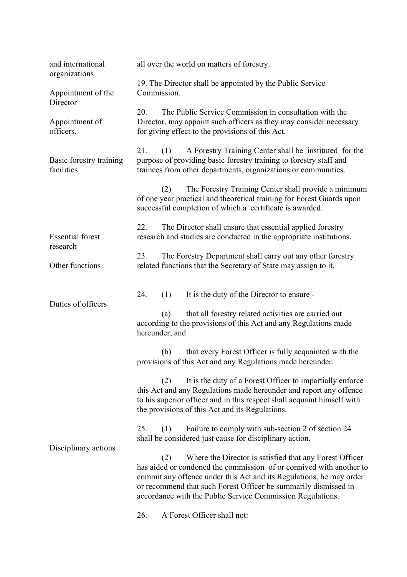| and international<br>organizations    | all over the world on matters of forestry.                                                                                                                                                                                                                                                                                                    |  |  |
|---------------------------------------|-----------------------------------------------------------------------------------------------------------------------------------------------------------------------------------------------------------------------------------------------------------------------------------------------------------------------------------------------|--|--|
| Appointment of the<br>Director        | 19. The Director shall be appointed by the Public Service<br>Commission.<br>20.<br>The Public Service Commission in consultation with the<br>Director, may appoint such officers as they may consider necessary<br>for giving effect to the provisions of this Act.                                                                           |  |  |
| Appointment of<br>officers.           |                                                                                                                                                                                                                                                                                                                                               |  |  |
| Basic forestry training<br>facilities | 21.<br>A Forestry Training Center shall be instituted for the<br>(1)<br>purpose of providing basic forestry training to forestry staff and<br>trainees from other departments, organizations or communities.                                                                                                                                  |  |  |
|                                       | The Forestry Training Center shall provide a minimum<br>(2)<br>of one year practical and theoretical training for Forest Guards upon<br>successful completion of which a certificate is awarded.                                                                                                                                              |  |  |
| <b>Essential forest</b><br>research   | 22.<br>The Director shall ensure that essential applied forestry<br>research and studies are conducted in the appropriate institutions.                                                                                                                                                                                                       |  |  |
| Other functions                       | The Forestry Department shall carry out any other forestry<br>23.<br>related functions that the Secretary of State may assign to it.                                                                                                                                                                                                          |  |  |
| Duties of officers                    | 24.<br>It is the duty of the Director to ensure -<br>(1)                                                                                                                                                                                                                                                                                      |  |  |
|                                       | that all forestry related activities are carried out<br>(a)<br>according to the provisions of this Act and any Regulations made<br>hereunder; and                                                                                                                                                                                             |  |  |
|                                       | that every Forest Officer is fully acquainted with the<br>(b)<br>provisions of this Act and any Regulations made hereunder.                                                                                                                                                                                                                   |  |  |
|                                       | It is the duty of a Forest Officer to impartially enforce<br>(2)<br>this Act and any Regulations made hereunder and report any offence<br>to his superior officer and in this respect shall acquaint himself with<br>the provisions of this Act and its Regulations.                                                                          |  |  |
| Disciplinary actions                  | Failure to comply with sub-section 2 of section 24<br>25.<br>(1)<br>shall be considered just cause for disciplinary action.                                                                                                                                                                                                                   |  |  |
|                                       | Where the Director is satisfied that any Forest Officer<br>(2)<br>has aided or condoned the commission of or connived with another to<br>commit any offence under this Act and its Regulations, he may order<br>or recommend that such Forest Officer be summarily dismissed in<br>accordance with the Public Service Commission Regulations. |  |  |
|                                       | A Forest Officer shall not:<br>26.                                                                                                                                                                                                                                                                                                            |  |  |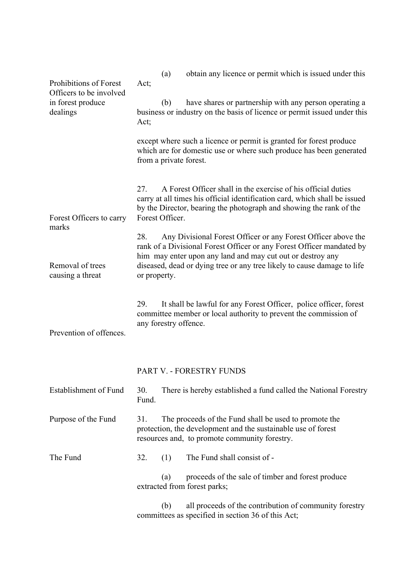| Prohibitions of Forest<br>Officers to be involved<br>in forest produce<br>dealings | obtain any licence or permit which is issued under this<br>(a)<br>Act;                                                                                                                                                                                                                                 |  |  |  |
|------------------------------------------------------------------------------------|--------------------------------------------------------------------------------------------------------------------------------------------------------------------------------------------------------------------------------------------------------------------------------------------------------|--|--|--|
|                                                                                    | have shares or partnership with any person operating a<br>(b)<br>business or industry on the basis of licence or permit issued under this<br>Act;                                                                                                                                                      |  |  |  |
|                                                                                    | except where such a licence or permit is granted for forest produce<br>which are for domestic use or where such produce has been generated<br>from a private forest.                                                                                                                                   |  |  |  |
| Forest Officers to carry                                                           | A Forest Officer shall in the exercise of his official duties<br>27.<br>carry at all times his official identification card, which shall be issued<br>by the Director, bearing the photograph and showing the rank of the<br>Forest Officer.                                                           |  |  |  |
| marks<br>Removal of trees<br>causing a threat                                      | Any Divisional Forest Officer or any Forest Officer above the<br>28.<br>rank of a Divisional Forest Officer or any Forest Officer mandated by<br>him may enter upon any land and may cut out or destroy any<br>diseased, dead or dying tree or any tree likely to cause damage to life<br>or property. |  |  |  |
| Prevention of offences.                                                            | It shall be lawful for any Forest Officer, police officer, forest<br>29.<br>committee member or local authority to prevent the commission of<br>any forestry offence.                                                                                                                                  |  |  |  |
|                                                                                    | PART V. - FORESTRY FUNDS                                                                                                                                                                                                                                                                               |  |  |  |
| Establishment of Fund                                                              | 30.<br>There is hereby established a fund called the National Forestry<br>Fund.                                                                                                                                                                                                                        |  |  |  |
| Purpose of the Fund                                                                | 31.<br>The proceeds of the Fund shall be used to promote the<br>protection, the development and the sustainable use of forest<br>resources and, to promote community forestry.                                                                                                                         |  |  |  |
| The Fund                                                                           | The Fund shall consist of -<br>32.<br>(1)                                                                                                                                                                                                                                                              |  |  |  |
|                                                                                    | proceeds of the sale of timber and forest produce<br>(a)<br>extracted from forest parks;                                                                                                                                                                                                               |  |  |  |
|                                                                                    | all proceeds of the contribution of community forestry<br>(b)<br>committees as specified in section 36 of this Act;                                                                                                                                                                                    |  |  |  |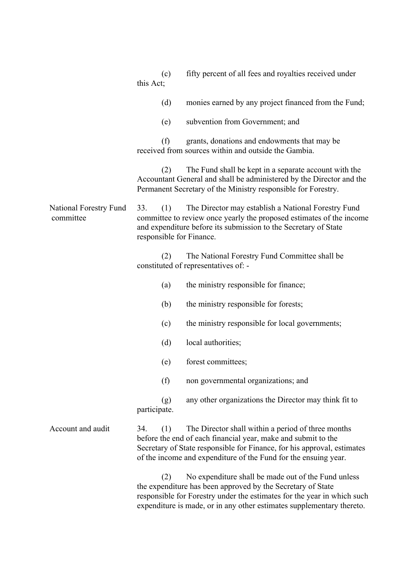|                                            | (c)<br>this Act;                                                                                                                                                                                                                         | fifty percent of all fees and royalties received under                                                                                                                                                                                                                 |  |  |
|--------------------------------------------|------------------------------------------------------------------------------------------------------------------------------------------------------------------------------------------------------------------------------------------|------------------------------------------------------------------------------------------------------------------------------------------------------------------------------------------------------------------------------------------------------------------------|--|--|
|                                            | (d)                                                                                                                                                                                                                                      | monies earned by any project financed from the Fund;                                                                                                                                                                                                                   |  |  |
|                                            | (e)                                                                                                                                                                                                                                      | subvention from Government; and                                                                                                                                                                                                                                        |  |  |
|                                            | (f)                                                                                                                                                                                                                                      | grants, donations and endowments that may be<br>received from sources within and outside the Gambia.                                                                                                                                                                   |  |  |
|                                            | (2)                                                                                                                                                                                                                                      | The Fund shall be kept in a separate account with the<br>Accountant General and shall be administered by the Director and the<br>Permanent Secretary of the Ministry responsible for Forestry.                                                                         |  |  |
| <b>National Forestry Fund</b><br>committee | 33.<br>(1)<br>The Director may establish a National Forestry Fund<br>committee to review once yearly the proposed estimates of the income<br>and expenditure before its submission to the Secretary of State<br>responsible for Finance. |                                                                                                                                                                                                                                                                        |  |  |
|                                            | (2)                                                                                                                                                                                                                                      | The National Forestry Fund Committee shall be<br>constituted of representatives of: -                                                                                                                                                                                  |  |  |
|                                            | (a)                                                                                                                                                                                                                                      | the ministry responsible for finance;                                                                                                                                                                                                                                  |  |  |
|                                            | (b)                                                                                                                                                                                                                                      | the ministry responsible for forests;                                                                                                                                                                                                                                  |  |  |
|                                            | (c)                                                                                                                                                                                                                                      | the ministry responsible for local governments;                                                                                                                                                                                                                        |  |  |
|                                            | (d)                                                                                                                                                                                                                                      | local authorities;                                                                                                                                                                                                                                                     |  |  |
|                                            | (e)                                                                                                                                                                                                                                      | forest committees;                                                                                                                                                                                                                                                     |  |  |
|                                            | (f)                                                                                                                                                                                                                                      | non governmental organizations; and                                                                                                                                                                                                                                    |  |  |
|                                            | (g)<br>participate.                                                                                                                                                                                                                      | any other organizations the Director may think fit to                                                                                                                                                                                                                  |  |  |
| Account and audit                          | 34.<br>(1)                                                                                                                                                                                                                               | The Director shall within a period of three months<br>before the end of each financial year, make and submit to the<br>Secretary of State responsible for Finance, for his approval, estimates<br>of the income and expenditure of the Fund for the ensuing year.      |  |  |
|                                            | (2)                                                                                                                                                                                                                                      | No expenditure shall be made out of the Fund unless<br>the expenditure has been approved by the Secretary of State<br>responsible for Forestry under the estimates for the year in which such<br>expenditure is made, or in any other estimates supplementary thereto. |  |  |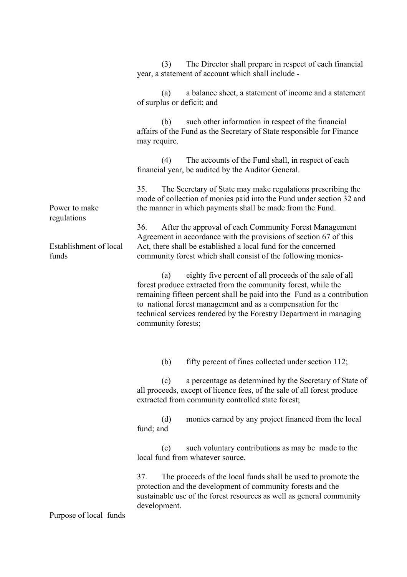Power to make regulations Establishment of local funds (3) The Director shall prepare in respect of each financial year, a statement of account which shall include - (a) a balance sheet, a statement of income and a statement of surplus or deficit; and (b) such other information in respect of the financial affairs of the Fund as the Secretary of State responsible for Finance may require. (4) The accounts of the Fund shall, in respect of each financial year, be audited by the Auditor General. 35. The Secretary of State may make regulations prescribing the mode of collection of monies paid into the Fund under section 32 and the manner in which payments shall be made from the Fund. 36. After the approval of each Community Forest Management Agreement in accordance with the provisions of section 67 of this Act, there shall be established a local fund for the concerned community forest which shall consist of the following monies- (a) eighty five percent of all proceeds of the sale of all forest produce extracted from the community forest, while the remaining fifteen percent shall be paid into the Fund as a contribution to national forest management and as a compensation for the technical services rendered by the Forestry Department in managing community forests; (b) fifty percent of fines collected under section 112; (c) a percentage as determined by the Secretary of State of all proceeds, except of licence fees, of the sale of all forest produce extracted from community controlled state forest; (d) monies earned by any project financed from the local fund; and (e) such voluntary contributions as may be made to the local fund from whatever source. 37. The proceeds of the local funds shall be used to promote the protection and the development of community forests and the sustainable use of the forest resources as well as general community development.

Purpose of local funds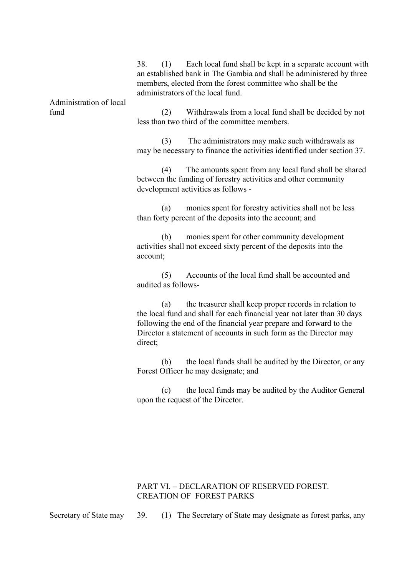Administration of local 38. (1) Each local fund shall be kept in a separate account with an established bank in The Gambia and shall be administered by three members, elected from the forest committee who shall be the administrators of the local fund. (2) Withdrawals from a local fund shall be decided by not less than two third of the committee members. (3) The administrators may make such withdrawals as may be necessary to finance the activities identified under section 37. (4) The amounts spent from any local fund shall be shared between the funding of forestry activities and other community development activities as follows - (a) monies spent for forestry activities shall not be less

than forty percent of the deposits into the account; and

(b) monies spent for other community development activities shall not exceed sixty percent of the deposits into the account;

(5) Accounts of the local fund shall be accounted and audited as follows-

(a) the treasurer shall keep proper records in relation to the local fund and shall for each financial year not later than 30 days following the end of the financial year prepare and forward to the Director a statement of accounts in such form as the Director may direct;

(b) the local funds shall be audited by the Director, or any Forest Officer he may designate; and

(c) the local funds may be audited by the Auditor General upon the request of the Director.

## PART VI. – DECLARATION OF RESERVED FOREST. CREATION OF FOREST PARKS

Secretary of State may

fund

39. (1) The Secretary of State may designate as forest parks, any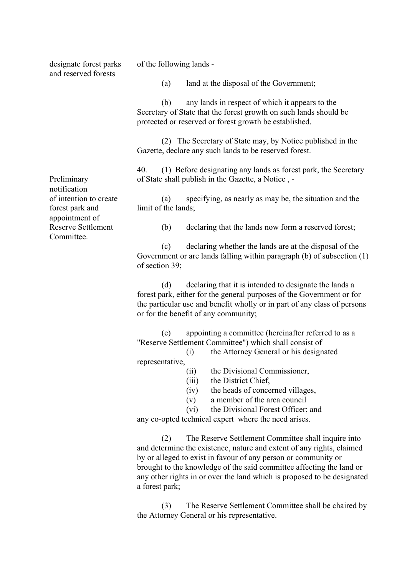designate forest parks and reserved forests

of the following lands -

(a) land at the disposal of the Government;

(b) any lands in respect of which it appears to the Secretary of State that the forest growth on such lands should be protected or reserved or forest growth be established.

(2) The Secretary of State may, by Notice published in the Gazette, declare any such lands to be reserved forest.

40. (1) Before designating any lands as forest park, the Secretary of State shall publish in the Gazette, a Notice , -

(a) specifying, as nearly as may be, the situation and the limit of the lands;

(b) declaring that the lands now form a reserved forest;

(c) declaring whether the lands are at the disposal of the Government or are lands falling within paragraph (b) of subsection (1) of section 39;

(d) declaring that it is intended to designate the lands a forest park, either for the general purposes of the Government or for the particular use and benefit wholly or in part of any class of persons or for the benefit of any community;

(e) appointing a committee (hereinafter referred to as a "Reserve Settlement Committee") which shall consist of

(i) the Attorney General or his designated

representative,

(ii) the Divisional Commissioner,

(iii) the District Chief,

(iv) the heads of concerned villages,

- (v) a member of the area council
- (vi) the Divisional Forest Officer; and

any co-opted technical expert where the need arises.

(2) The Reserve Settlement Committee shall inquire into and determine the existence, nature and extent of any rights, claimed by or alleged to exist in favour of any person or community or brought to the knowledge of the said committee affecting the land or any other rights in or over the land which is proposed to be designated a forest park;

(3) The Reserve Settlement Committee shall be chaired by the Attorney General or his representative.

Preliminary notification of intention to create forest park and appointment of Reserve Settlement **Committee**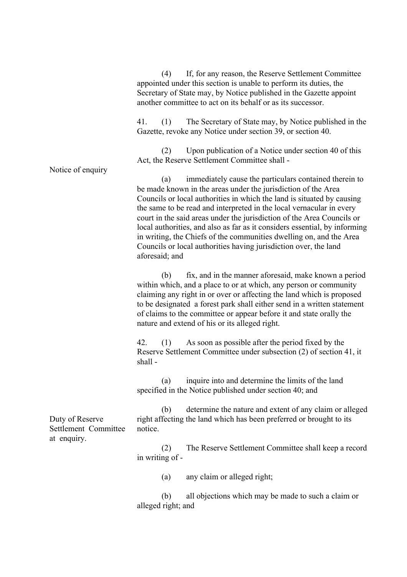|                                                        | If, for any reason, the Reserve Settlement Committee<br>(4)<br>appointed under this section is unable to perform its duties, the<br>Secretary of State may, by Notice published in the Gazette appoint<br>another committee to act on its behalf or as its successor.                                                                                                                                                                                                                                                                                                                                 |
|--------------------------------------------------------|-------------------------------------------------------------------------------------------------------------------------------------------------------------------------------------------------------------------------------------------------------------------------------------------------------------------------------------------------------------------------------------------------------------------------------------------------------------------------------------------------------------------------------------------------------------------------------------------------------|
| Notice of enquiry                                      | 41.<br>The Secretary of State may, by Notice published in the<br>(1)<br>Gazette, revoke any Notice under section 39, or section 40.                                                                                                                                                                                                                                                                                                                                                                                                                                                                   |
|                                                        | Upon publication of a Notice under section 40 of this<br>(2)<br>Act, the Reserve Settlement Committee shall -                                                                                                                                                                                                                                                                                                                                                                                                                                                                                         |
|                                                        | immediately cause the particulars contained therein to<br>(a)<br>be made known in the areas under the jurisdiction of the Area<br>Councils or local authorities in which the land is situated by causing<br>the same to be read and interpreted in the local vernacular in every<br>court in the said areas under the jurisdiction of the Area Councils or<br>local authorities, and also as far as it considers essential, by informing<br>in writing, the Chiefs of the communities dwelling on, and the Area<br>Councils or local authorities having jurisdiction over, the land<br>aforesaid; and |
|                                                        | fix, and in the manner aforesaid, make known a period<br>(b)<br>within which, and a place to or at which, any person or community<br>claiming any right in or over or affecting the land which is proposed<br>to be designated a forest park shall either send in a written statement<br>of claims to the committee or appear before it and state orally the<br>nature and extend of his or its alleged right.                                                                                                                                                                                        |
|                                                        | (1) As soon as possible after the period fixed by the<br>42.<br>Reserve Settlement Committee under subsection (2) of section 41, it<br>shall-                                                                                                                                                                                                                                                                                                                                                                                                                                                         |
| Duty of Reserve<br>Settlement Committee<br>at enquiry. | inquire into and determine the limits of the land<br>(a)<br>specified in the Notice published under section 40; and                                                                                                                                                                                                                                                                                                                                                                                                                                                                                   |
|                                                        | determine the nature and extent of any claim or alleged<br>(b)<br>right affecting the land which has been preferred or brought to its<br>notice.                                                                                                                                                                                                                                                                                                                                                                                                                                                      |
|                                                        | The Reserve Settlement Committee shall keep a record<br>(2)<br>in writing of -                                                                                                                                                                                                                                                                                                                                                                                                                                                                                                                        |
|                                                        | any claim or alleged right;<br>(a)                                                                                                                                                                                                                                                                                                                                                                                                                                                                                                                                                                    |
|                                                        | all objections which may be made to such a claim or<br>(b)<br>alleged right; and                                                                                                                                                                                                                                                                                                                                                                                                                                                                                                                      |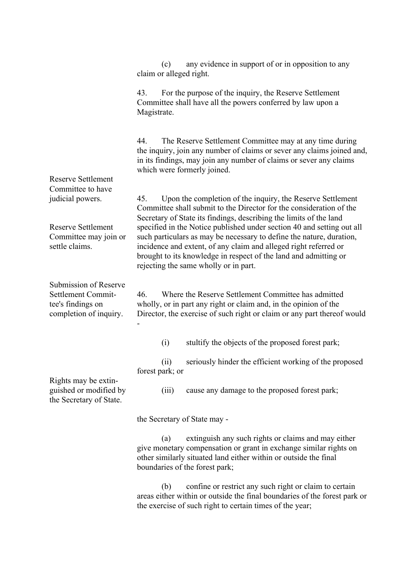Reserve Settlement Committee to have judicial powers. Reserve Settlement Committee may join or settle claims. Submission of Reserve Settlement Committee's findings on completion of inquiry. Rights may be extinguished or modified by the Secretary of State. (c) any evidence in support of or in opposition to any claim or alleged right. 43. For the purpose of the inquiry, the Reserve Settlement Committee shall have all the powers conferred by law upon a Magistrate. 44. The Reserve Settlement Committee may at any time during the inquiry, join any number of claims or sever any claims joined and, in its findings, may join any number of claims or sever any claims which were formerly joined. 45. Upon the completion of the inquiry, the Reserve Settlement Committee shall submit to the Director for the consideration of the Secretary of State its findings, describing the limits of the land specified in the Notice published under section 40 and setting out all such particulars as may be necessary to define the nature, duration, incidence and extent, of any claim and alleged right referred or brought to its knowledge in respect of the land and admitting or rejecting the same wholly or in part. 46. Where the Reserve Settlement Committee has admitted wholly, or in part any right or claim and, in the opinion of the Director, the exercise of such right or claim or any part thereof would - (i) stultify the objects of the proposed forest park; (ii) seriously hinder the efficient working of the proposed forest park; or (iii) cause any damage to the proposed forest park; the Secretary of State may - (a) extinguish any such rights or claims and may either give monetary compensation or grant in exchange similar rights on other similarly situated land either within or outside the final boundaries of the forest park; (b) confine or restrict any such right or claim to certain areas either within or outside the final boundaries of the forest park or the exercise of such right to certain times of the year;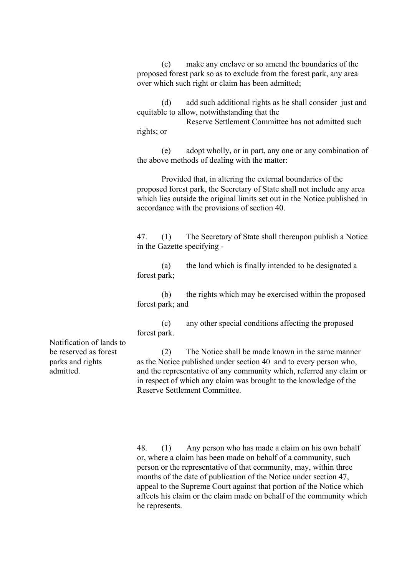(c) make any enclave or so amend the boundaries of the proposed forest park so as to exclude from the forest park, any area over which such right or claim has been admitted;

(d) add such additional rights as he shall consider just and equitable to allow, notwithstanding that the

Reserve Settlement Committee has not admitted such rights; or

(e) adopt wholly, or in part, any one or any combination of the above methods of dealing with the matter:

Provided that, in altering the external boundaries of the proposed forest park, the Secretary of State shall not include any area which lies outside the original limits set out in the Notice published in accordance with the provisions of section 40.

47. (1) The Secretary of State shall thereupon publish a Notice in the Gazette specifying -

(a) the land which is finally intended to be designated a forest park;

(b) the rights which may be exercised within the proposed forest park; and

(c) any other special conditions affecting the proposed forest park.

Notification of lands to be reserved as forest parks and rights admitted.

(2) The Notice shall be made known in the same manner as the Notice published under section 40 and to every person who, and the representative of any community which, referred any claim or in respect of which any claim was brought to the knowledge of the Reserve Settlement Committee.

48. (1) Any person who has made a claim on his own behalf or, where a claim has been made on behalf of a community, such person or the representative of that community, may, within three months of the date of publication of the Notice under section 47, appeal to the Supreme Court against that portion of the Notice which affects his claim or the claim made on behalf of the community which he represents.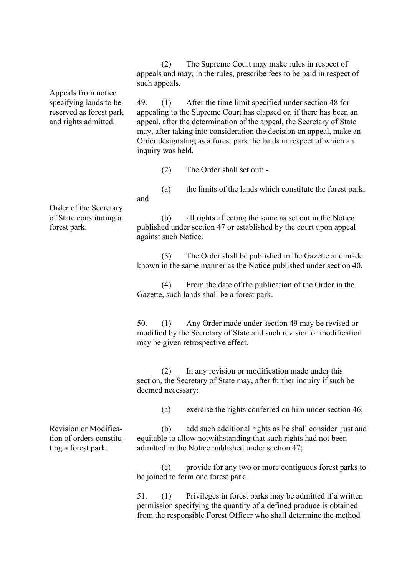(2) The Supreme Court may make rules in respect of appeals and may, in the rules, prescribe fees to be paid in respect of such appeals.

49. (1) After the time limit specified under section 48 for appealing to the Supreme Court has elapsed or, if there has been an appeal, after the determination of the appeal, the Secretary of State may, after taking into consideration the decision on appeal, make an Order designating as a forest park the lands in respect of which an inquiry was held.

(2) The Order shall set out: -

(a) the limits of the lands which constitute the forest park; and

Order of the Secretary of State constituting a forest park.

Appeals from notice specifying lands to be reserved as forest park and rights admitted.

> (b) all rights affecting the same as set out in the Notice published under section 47 or established by the court upon appeal against such Notice.

(3) The Order shall be published in the Gazette and made known in the same manner as the Notice published under section 40.

(4) From the date of the publication of the Order in the Gazette, such lands shall be a forest park.

50. (1) Any Order made under section 49 may be revised or modified by the Secretary of State and such revision or modification may be given retrospective effect.

(2) In any revision or modification made under this section, the Secretary of State may, after further inquiry if such be deemed necessary:

(a) exercise the rights conferred on him under section 46;

Revision or Modification of orders constituting a forest park.

(b) add such additional rights as he shall consider just and equitable to allow notwithstanding that such rights had not been admitted in the Notice published under section 47;

(c) provide for any two or more contiguous forest parks to be joined to form one forest park.

51. (1) Privileges in forest parks may be admitted if a written permission specifying the quantity of a defined produce is obtained from the responsible Forest Officer who shall determine the method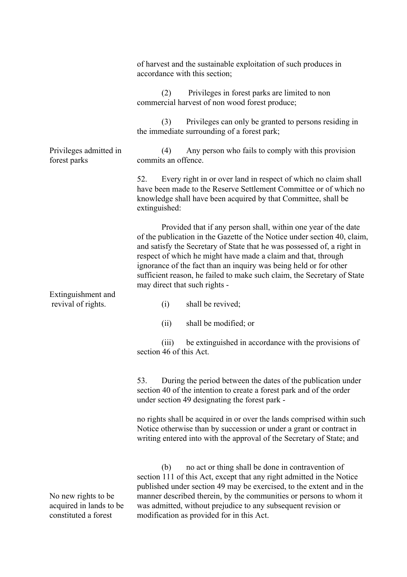|                                                                        | of harvest and the sustainable exploitation of such produces in<br>accordance with this section;                                                                                                                                                                                                                                                                                                                                                                        |  |  |  |
|------------------------------------------------------------------------|-------------------------------------------------------------------------------------------------------------------------------------------------------------------------------------------------------------------------------------------------------------------------------------------------------------------------------------------------------------------------------------------------------------------------------------------------------------------------|--|--|--|
|                                                                        | Privileges in forest parks are limited to non<br>(2)<br>commercial harvest of non wood forest produce;                                                                                                                                                                                                                                                                                                                                                                  |  |  |  |
|                                                                        | Privileges can only be granted to persons residing in<br>(3)<br>the immediate surrounding of a forest park;                                                                                                                                                                                                                                                                                                                                                             |  |  |  |
| Privileges admitted in<br>forest parks                                 | (4)<br>Any person who fails to comply with this provision<br>commits an offence.                                                                                                                                                                                                                                                                                                                                                                                        |  |  |  |
|                                                                        | Every right in or over land in respect of which no claim shall<br>52.<br>have been made to the Reserve Settlement Committee or of which no<br>knowledge shall have been acquired by that Committee, shall be<br>extinguished:                                                                                                                                                                                                                                           |  |  |  |
| Extinguishment and                                                     | Provided that if any person shall, within one year of the date<br>of the publication in the Gazette of the Notice under section 40, claim,<br>and satisfy the Secretary of State that he was possessed of, a right in<br>respect of which he might have made a claim and that, through<br>ignorance of the fact than an inquiry was being held or for other<br>sufficient reason, he failed to make such claim, the Secretary of State<br>may direct that such rights - |  |  |  |
| revival of rights.                                                     | shall be revived;<br>(i)                                                                                                                                                                                                                                                                                                                                                                                                                                                |  |  |  |
|                                                                        | (ii)<br>shall be modified; or                                                                                                                                                                                                                                                                                                                                                                                                                                           |  |  |  |
|                                                                        | be extinguished in accordance with the provisions of<br>(iii)<br>section 46 of this Act.                                                                                                                                                                                                                                                                                                                                                                                |  |  |  |
|                                                                        | During the period between the dates of the publication under<br>53.<br>section 40 of the intention to create a forest park and of the order<br>under section 49 designating the forest park -                                                                                                                                                                                                                                                                           |  |  |  |
|                                                                        | no rights shall be acquired in or over the lands comprised within such<br>Notice otherwise than by succession or under a grant or contract in<br>writing entered into with the approval of the Secretary of State; and                                                                                                                                                                                                                                                  |  |  |  |
| No new rights to be<br>acquired in lands to be<br>constituted a forest | no act or thing shall be done in contravention of<br>(b)<br>section 111 of this Act, except that any right admitted in the Notice<br>published under section 49 may be exercised, to the extent and in the<br>manner described therein, by the communities or persons to whom it<br>was admitted, without prejudice to any subsequent revision or<br>modification as provided for in this Act.                                                                          |  |  |  |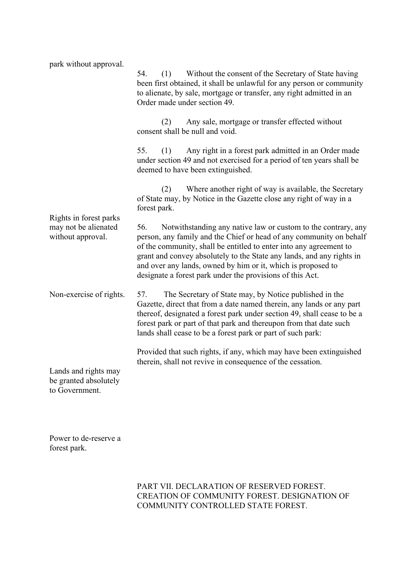| park without approval.                                              | 54.<br>(1)<br>Without the consent of the Secretary of State having<br>been first obtained, it shall be unlawful for any person or community<br>to alienate, by sale, mortgage or transfer, any right admitted in an<br>Order made under section 49.                                                                                                                                                                     |  |  |  |  |  |
|---------------------------------------------------------------------|-------------------------------------------------------------------------------------------------------------------------------------------------------------------------------------------------------------------------------------------------------------------------------------------------------------------------------------------------------------------------------------------------------------------------|--|--|--|--|--|
|                                                                     | Any sale, mortgage or transfer effected without<br>(2)<br>consent shall be null and void.                                                                                                                                                                                                                                                                                                                               |  |  |  |  |  |
|                                                                     | 55.<br>Any right in a forest park admitted in an Order made<br>(1)<br>under section 49 and not exercised for a period of ten years shall be<br>deemed to have been extinguished.                                                                                                                                                                                                                                        |  |  |  |  |  |
|                                                                     | Where another right of way is available, the Secretary<br>(2)<br>of State may, by Notice in the Gazette close any right of way in a<br>forest park.                                                                                                                                                                                                                                                                     |  |  |  |  |  |
| Rights in forest parks<br>may not be alienated<br>without approval. | 56.<br>Notwithstanding any native law or custom to the contrary, any<br>person, any family and the Chief or head of any community on behalf<br>of the community, shall be entitled to enter into any agreement to<br>grant and convey absolutely to the State any lands, and any rights in<br>and over any lands, owned by him or it, which is proposed to<br>designate a forest park under the provisions of this Act. |  |  |  |  |  |
| Non-exercise of rights.                                             | The Secretary of State may, by Notice published in the<br>57.<br>Gazette, direct that from a date named therein, any lands or any part<br>thereof, designated a forest park under section 49, shall cease to be a<br>forest park or part of that park and thereupon from that date such<br>lands shall cease to be a forest park or part of such park:                                                                  |  |  |  |  |  |
| Lands and rights may<br>be granted absolutely<br>to Government.     | Provided that such rights, if any, which may have been extinguished<br>therein, shall not revive in consequence of the cessation.                                                                                                                                                                                                                                                                                       |  |  |  |  |  |

Power to de-reserve a forest park.

# PART VII. DECLARATION OF RESERVED FOREST. CREATION OF COMMUNITY FOREST. DESIGNATION OF COMMUNITY CONTROLLED STATE FOREST.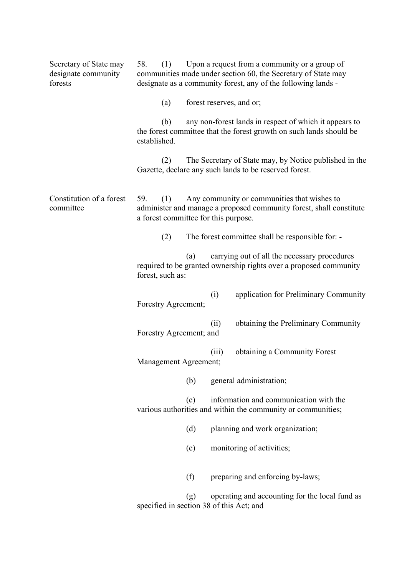| Secretary of State may<br>designate community<br>forests | Upon a request from a community or a group of<br>58.<br>(1)<br>communities made under section 60, the Secretary of State may<br>designate as a community forest, any of the following lands - |     |       |                                                                                                                               |
|----------------------------------------------------------|-----------------------------------------------------------------------------------------------------------------------------------------------------------------------------------------------|-----|-------|-------------------------------------------------------------------------------------------------------------------------------|
|                                                          | (a)                                                                                                                                                                                           |     |       | forest reserves, and or;                                                                                                      |
|                                                          | (b)<br>established.                                                                                                                                                                           |     |       | any non-forest lands in respect of which it appears to<br>the forest committee that the forest growth on such lands should be |
|                                                          | (2)                                                                                                                                                                                           |     |       | The Secretary of State may, by Notice published in the<br>Gazette, declare any such lands to be reserved forest.              |
| Constitution of a forest<br>committee                    | Any community or communities that wishes to<br>59.<br>(1)<br>administer and manage a proposed community forest, shall constitute<br>a forest committee for this purpose.                      |     |       |                                                                                                                               |
|                                                          | (2)                                                                                                                                                                                           |     |       | The forest committee shall be responsible for: -                                                                              |
|                                                          | forest, such as:                                                                                                                                                                              | (a) |       | carrying out of all the necessary procedures<br>required to be granted ownership rights over a proposed community             |
|                                                          | Forestry Agreement;                                                                                                                                                                           |     | (i)   | application for Preliminary Community                                                                                         |
|                                                          | Forestry Agreement; and                                                                                                                                                                       |     | (ii)  | obtaining the Preliminary Community                                                                                           |
|                                                          | Management Agreement;                                                                                                                                                                         |     | (iii) | obtaining a Community Forest                                                                                                  |
|                                                          |                                                                                                                                                                                               | (b) |       | general administration;                                                                                                       |
|                                                          |                                                                                                                                                                                               | (c) |       | information and communication with the<br>various authorities and within the community or communities;                        |
|                                                          |                                                                                                                                                                                               | (d) |       | planning and work organization;                                                                                               |
|                                                          |                                                                                                                                                                                               | (e) |       | monitoring of activities;                                                                                                     |
|                                                          |                                                                                                                                                                                               | (f) |       | preparing and enforcing by-laws;                                                                                              |
|                                                          | specified in section 38 of this Act; and                                                                                                                                                      | (g) |       | operating and accounting for the local fund as                                                                                |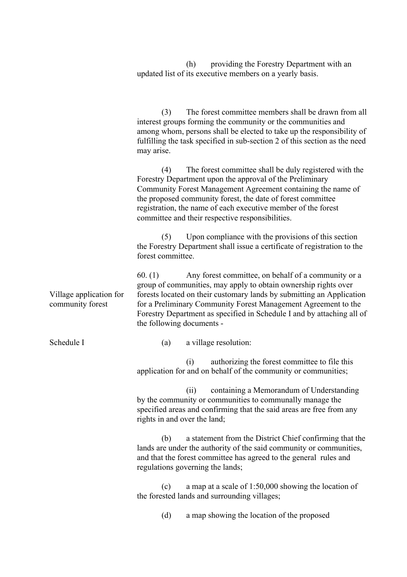(h) providing the Forestry Department with an updated list of its executive members on a yearly basis.

(3) The forest committee members shall be drawn from all interest groups forming the community or the communities and among whom, persons shall be elected to take up the responsibility of fulfilling the task specified in sub-section 2 of this section as the need may arise.

(4) The forest committee shall be duly registered with the Forestry Department upon the approval of the Preliminary Community Forest Management Agreement containing the name of the proposed community forest, the date of forest committee registration, the name of each executive member of the forest committee and their respective responsibilities.

(5) Upon compliance with the provisions of this section the Forestry Department shall issue a certificate of registration to the forest committee.

60. (1) Any forest committee, on behalf of a community or a group of communities, may apply to obtain ownership rights over forests located on their customary lands by submitting an Application for a Preliminary Community Forest Management Agreement to the Forestry Department as specified in Schedule I and by attaching all of the following documents -

Schedule I

Village application for community forest

(a) a village resolution:

(i) authorizing the forest committee to file this application for and on behalf of the community or communities;

(ii) containing a Memorandum of Understanding by the community or communities to communally manage the specified areas and confirming that the said areas are free from any rights in and over the land;

(b) a statement from the District Chief confirming that the lands are under the authority of the said community or communities, and that the forest committee has agreed to the general rules and regulations governing the lands;

(c) a map at a scale of 1:50,000 showing the location of the forested lands and surrounding villages;

(d) a map showing the location of the proposed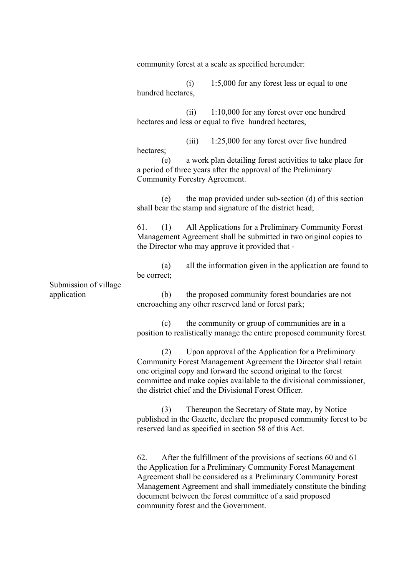Submission of village application community forest at a scale as specified hereunder: (i) 1:5,000 for any forest less or equal to one hundred hectares, (ii) 1:10,000 for any forest over one hundred hectares and less or equal to five hundred hectares, (iii) 1:25,000 for any forest over five hundred hectares; (e) a work plan detailing forest activities to take place for a period of three years after the approval of the Preliminary Community Forestry Agreement. (e) the map provided under sub-section (d) of this section shall bear the stamp and signature of the district head; 61. (1) All Applications for a Preliminary Community Forest Management Agreement shall be submitted in two original copies to the Director who may approve it provided that - (a) all the information given in the application are found to be correct; (b) the proposed community forest boundaries are not encroaching any other reserved land or forest park; (c) the community or group of communities are in a position to realistically manage the entire proposed community forest. (2) Upon approval of the Application for a Preliminary Community Forest Management Agreement the Director shall retain one original copy and forward the second original to the forest committee and make copies available to the divisional commissioner, the district chief and the Divisional Forest Officer. (3) Thereupon the Secretary of State may, by Notice published in the Gazette, declare the proposed community forest to be reserved land as specified in section 58 of this Act. 62. After the fulfillment of the provisions of sections 60 and 61 the Application for a Preliminary Community Forest Management Agreement shall be considered as a Preliminary Community Forest Management Agreement and shall immediately constitute the binding document between the forest committee of a said proposed community forest and the Government.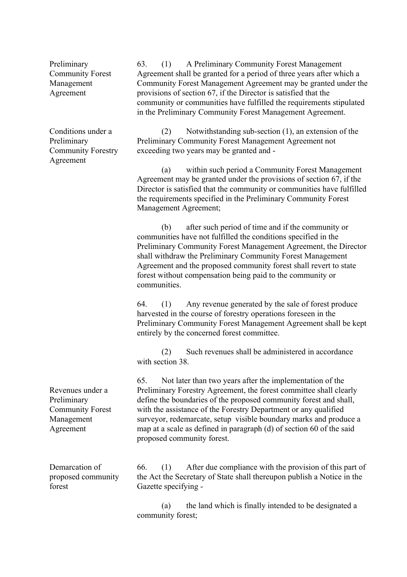Preliminary Community Forest Management Agreement

Conditions under a Preliminary Community Forestry Agreement

63. (1) A Preliminary Community Forest Management Agreement shall be granted for a period of three years after which a Community Forest Management Agreement may be granted under the provisions of section 67, if the Director is satisfied that the community or communities have fulfilled the requirements stipulated in the Preliminary Community Forest Management Agreement.

(2) Notwithstanding sub-section (1), an extension of the Preliminary Community Forest Management Agreement not exceeding two years may be granted and -

(a) within such period a Community Forest Management Agreement may be granted under the provisions of section 67, if the Director is satisfied that the community or communities have fulfilled the requirements specified in the Preliminary Community Forest Management Agreement;

(b) after such period of time and if the community or communities have not fulfilled the conditions specified in the Preliminary Community Forest Management Agreement, the Director shall withdraw the Preliminary Community Forest Management Agreement and the proposed community forest shall revert to state forest without compensation being paid to the community or communities.

64. (1) Any revenue generated by the sale of forest produce harvested in the course of forestry operations foreseen in the Preliminary Community Forest Management Agreement shall be kept entirely by the concerned forest committee.

(2) Such revenues shall be administered in accordance with section 38.

65. Not later than two years after the implementation of the Preliminary Forestry Agreement, the forest committee shall clearly define the boundaries of the proposed community forest and shall, with the assistance of the Forestry Department or any qualified surveyor, redemarcate, setup visible boundary marks and produce a map at a scale as defined in paragraph (d) of section 60 of the said proposed community forest.

Demarcation of proposed community forest

Revenues under a

Community Forest Management Agreement

Preliminary

66. (1) After due compliance with the provision of this part of the Act the Secretary of State shall thereupon publish a Notice in the Gazette specifying -

(a) the land which is finally intended to be designated a community forest;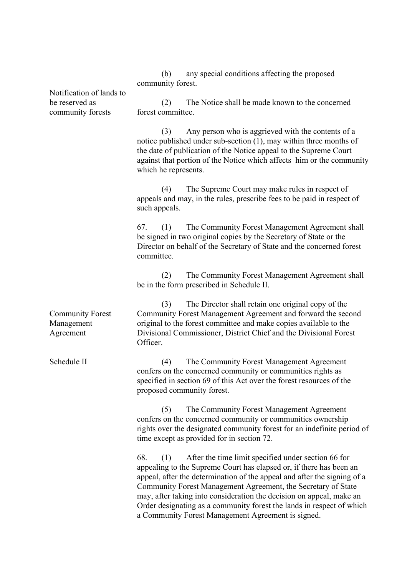(b) any special conditions affecting the proposed community forest.

Notification of lands to be reserved as community forests Community Forest Management Agreement Schedule II (2) The Notice shall be made known to the concerned forest committee. (3) Any person who is aggrieved with the contents of a notice published under sub-section (1), may within three months of the date of publication of the Notice appeal to the Supreme Court against that portion of the Notice which affects him or the community which he represents. (4) The Supreme Court may make rules in respect of appeals and may, in the rules, prescribe fees to be paid in respect of such appeals. 67. (1) The Community Forest Management Agreement shall be signed in two original copies by the Secretary of State or the Director on behalf of the Secretary of State and the concerned forest committee. (2) The Community Forest Management Agreement shall be in the form prescribed in Schedule II. (3) The Director shall retain one original copy of the Community Forest Management Agreement and forward the second original to the forest committee and make copies available to the Divisional Commissioner, District Chief and the Divisional Forest Officer. (4) The Community Forest Management Agreement confers on the concerned community or communities rights as specified in section 69 of this Act over the forest resources of the proposed community forest. (5) The Community Forest Management Agreement confers on the concerned community or communities ownership rights over the designated community forest for an indefinite period of time except as provided for in section 72. 68. (1) After the time limit specified under section 66 for appealing to the Supreme Court has elapsed or, if there has been an appeal, after the determination of the appeal and after the signing of a Community Forest Management Agreement, the Secretary of State may, after taking into consideration the decision on appeal, make an Order designating as a community forest the lands in respect of which a Community Forest Management Agreement is signed.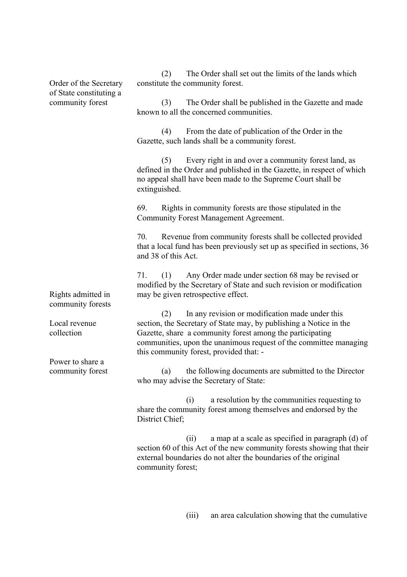Order of the Secretary of State constituting a community forest

(2) The Order shall set out the limits of the lands which constitute the community forest.

(3) The Order shall be published in the Gazette and made known to all the concerned communities.

(4) From the date of publication of the Order in the Gazette, such lands shall be a community forest.

(5) Every right in and over a community forest land, as defined in the Order and published in the Gazette, in respect of which no appeal shall have been made to the Supreme Court shall be extinguished.

69. Rights in community forests are those stipulated in the Community Forest Management Agreement.

70. Revenue from community forests shall be collected provided that a local fund has been previously set up as specified in sections, 36 and 38 of this Act.

71. (1) Any Order made under section 68 may be revised or modified by the Secretary of State and such revision or modification may be given retrospective effect.

(2) In any revision or modification made under this section, the Secretary of State may, by publishing a Notice in the Gazette, share a community forest among the participating communities, upon the unanimous request of the committee managing this community forest, provided that: -

(a) the following documents are submitted to the Director who may advise the Secretary of State:

(i) a resolution by the communities requesting to share the community forest among themselves and endorsed by the District Chief;

(ii) a map at a scale as specified in paragraph (d) of section 60 of this Act of the new community forests showing that their external boundaries do not alter the boundaries of the original community forest;

(iii) an area calculation showing that the cumulative

Rights admitted in community forests

Local revenue collection

Power to share a community forest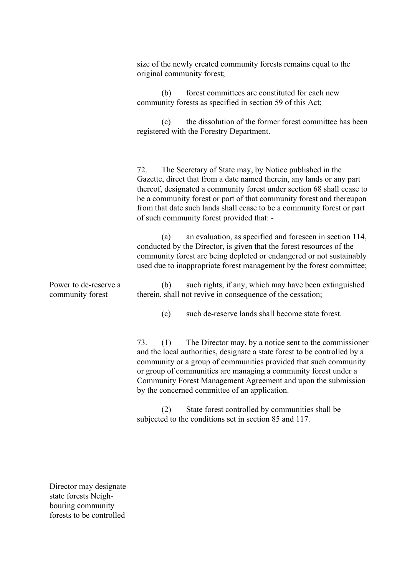Power to de-reserve a community forest size of the newly created community forests remains equal to the original community forest; (b) forest committees are constituted for each new community forests as specified in section 59 of this Act; (c) the dissolution of the former forest committee has been registered with the Forestry Department. 72. The Secretary of State may, by Notice published in the Gazette, direct that from a date named therein, any lands or any part thereof, designated a community forest under section 68 shall cease to be a community forest or part of that community forest and thereupon from that date such lands shall cease to be a community forest or part of such community forest provided that: - (a) an evaluation, as specified and foreseen in section 114, conducted by the Director, is given that the forest resources of the community forest are being depleted or endangered or not sustainably used due to inappropriate forest management by the forest committee; (b) such rights, if any, which may have been extinguished therein, shall not revive in consequence of the cessation; (c) such de-reserve lands shall become state forest. 73. (1) The Director may, by a notice sent to the commissioner and the local authorities, designate a state forest to be controlled by a community or a group of communities provided that such community or group of communities are managing a community forest under a Community Forest Management Agreement and upon the submission by the concerned committee of an application. (2) State forest controlled by communities shall be subjected to the conditions set in section 85 and 117.

Director may designate state forests Neighbouring community forests to be controlled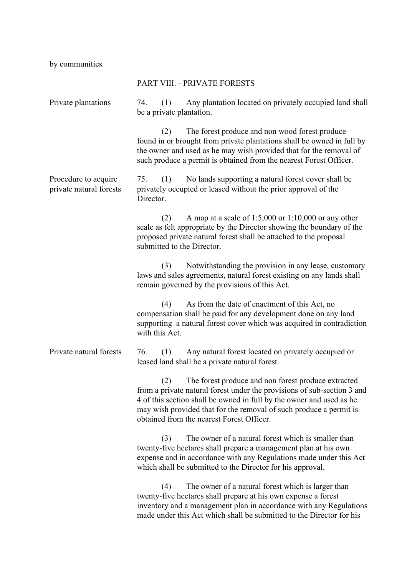by communities

|                                                 | PART VIII. - PRIVATE FORESTS                                                                                                                                                                                                                                                                                                     |
|-------------------------------------------------|----------------------------------------------------------------------------------------------------------------------------------------------------------------------------------------------------------------------------------------------------------------------------------------------------------------------------------|
| Private plantations                             | Any plantation located on privately occupied land shall<br>74.<br>(1)<br>be a private plantation.                                                                                                                                                                                                                                |
|                                                 | The forest produce and non wood forest produce<br>(2)<br>found in or brought from private plantations shall be owned in full by<br>the owner and used as he may wish provided that for the removal of<br>such produce a permit is obtained from the nearest Forest Officer.                                                      |
| Procedure to acquire<br>private natural forests | No lands supporting a natural forest cover shall be<br>75.<br>(1)<br>privately occupied or leased without the prior approval of the<br>Director.                                                                                                                                                                                 |
|                                                 | A map at a scale of $1:5,000$ or $1:10,000$ or any other<br>(2)<br>scale as felt appropriate by the Director showing the boundary of the<br>proposed private natural forest shall be attached to the proposal<br>submitted to the Director.                                                                                      |
|                                                 | Notwithstanding the provision in any lease, customary<br>(3)<br>laws and sales agreements, natural forest existing on any lands shall<br>remain governed by the provisions of this Act.                                                                                                                                          |
|                                                 | As from the date of enactment of this Act, no<br>(4)<br>compensation shall be paid for any development done on any land<br>supporting a natural forest cover which was acquired in contradiction<br>with this Act.                                                                                                               |
| Private natural forests                         | (1)<br>Any natural forest located on privately occupied or<br>76.<br>leased land shall be a private natural forest.                                                                                                                                                                                                              |
|                                                 | (2)<br>The forest produce and non forest produce extracted<br>from a private natural forest under the provisions of sub-section 3 and<br>4 of this section shall be owned in full by the owner and used as he<br>may wish provided that for the removal of such produce a permit is<br>obtained from the nearest Forest Officer. |
|                                                 | The owner of a natural forest which is smaller than<br>(3)<br>twenty-five hectares shall prepare a management plan at his own<br>expense and in accordance with any Regulations made under this Act<br>which shall be submitted to the Director for his approval.                                                                |
|                                                 | The owner of a natural forest which is larger than<br>(4)<br>twenty-five hectares shall prepare at his own expense a forest<br>inventory and a management plan in accordance with any Regulations<br>made under this Act which shall be submitted to the Director for his                                                        |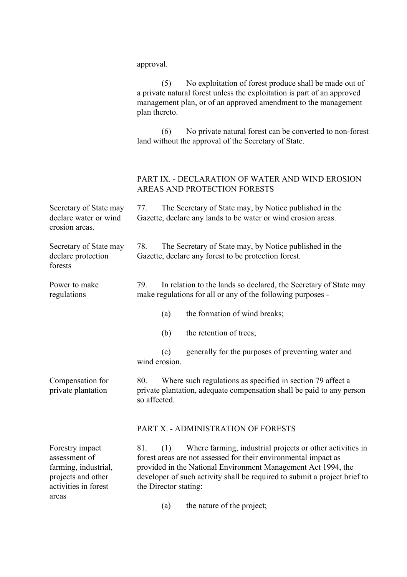|                                                                                                        | approval.                                                                                                                                                                                                                                                                                                         |  |  |
|--------------------------------------------------------------------------------------------------------|-------------------------------------------------------------------------------------------------------------------------------------------------------------------------------------------------------------------------------------------------------------------------------------------------------------------|--|--|
|                                                                                                        | No exploitation of forest produce shall be made out of<br>(5)<br>a private natural forest unless the exploitation is part of an approved<br>management plan, or of an approved amendment to the management<br>plan thereto.                                                                                       |  |  |
|                                                                                                        | No private natural forest can be converted to non-forest<br>(6)<br>land without the approval of the Secretary of State.                                                                                                                                                                                           |  |  |
|                                                                                                        | PART IX. - DECLARATION OF WATER AND WIND EROSION<br>AREAS AND PROTECTION FORESTS                                                                                                                                                                                                                                  |  |  |
| Secretary of State may<br>declare water or wind<br>erosion areas.                                      | The Secretary of State may, by Notice published in the<br>77.<br>Gazette, declare any lands to be water or wind erosion areas.                                                                                                                                                                                    |  |  |
| Secretary of State may<br>declare protection<br>forests                                                | The Secretary of State may, by Notice published in the<br>78.<br>Gazette, declare any forest to be protection forest.                                                                                                                                                                                             |  |  |
| Power to make<br>regulations                                                                           | In relation to the lands so declared, the Secretary of State may<br>79.<br>make regulations for all or any of the following purposes -                                                                                                                                                                            |  |  |
|                                                                                                        | the formation of wind breaks;<br>(a)                                                                                                                                                                                                                                                                              |  |  |
|                                                                                                        | (b)<br>the retention of trees;                                                                                                                                                                                                                                                                                    |  |  |
|                                                                                                        | generally for the purposes of preventing water and<br>(c)<br>wind erosion.                                                                                                                                                                                                                                        |  |  |
| Compensation for<br>private plantation                                                                 | Where such regulations as specified in section 79 affect a<br>80.<br>private plantation, adequate compensation shall be paid to any person<br>so affected.                                                                                                                                                        |  |  |
|                                                                                                        | PART X. - ADMINISTRATION OF FORESTS                                                                                                                                                                                                                                                                               |  |  |
| Forestry impact<br>assessment of<br>farming, industrial,<br>projects and other<br>activities in forest | Where farming, industrial projects or other activities in<br>81.<br>(1)<br>forest areas are not assessed for their environmental impact as<br>provided in the National Environment Management Act 1994, the<br>developer of such activity shall be required to submit a project brief to<br>the Director stating: |  |  |
| areas                                                                                                  | the nature of the project;<br>(a)                                                                                                                                                                                                                                                                                 |  |  |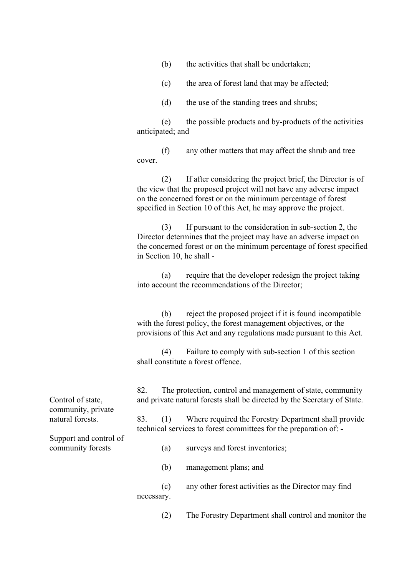| (b) |  |  |  |  | the activities that shall be undertaken; |
|-----|--|--|--|--|------------------------------------------|
|-----|--|--|--|--|------------------------------------------|

- (c) the area of forest land that may be affected;
- (d) the use of the standing trees and shrubs;

(e) the possible products and by-products of the activities anticipated; and

(f) any other matters that may affect the shrub and tree cover.

(2) If after considering the project brief, the Director is of the view that the proposed project will not have any adverse impact on the concerned forest or on the minimum percentage of forest specified in Section 10 of this Act, he may approve the project.

(3) If pursuant to the consideration in sub-section 2, the Director determines that the project may have an adverse impact on the concerned forest or on the minimum percentage of forest specified in Section 10, he shall -

(a) require that the developer redesign the project taking into account the recommendations of the Director;

(b) reject the proposed project if it is found incompatible with the forest policy, the forest management objectives, or the provisions of this Act and any regulations made pursuant to this Act.

(4) Failure to comply with sub-section 1 of this section shall constitute a forest offence.

82. The protection, control and management of state, community and private natural forests shall be directed by the Secretary of State.

83. (1) Where required the Forestry Department shall provide technical services to forest committees for the preparation of: -

(a) surveys and forest inventories;

(b) management plans; and

(c) any other forest activities as the Director may find necessary.

(2) The Forestry Department shall control and monitor the

Control of state, community, private natural forests.

Support and control of community forests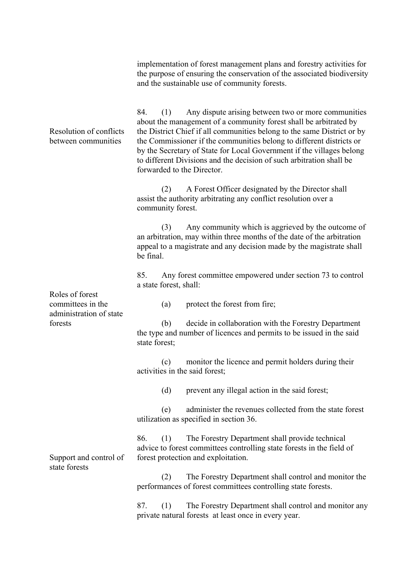Resolution of conflicts between communities Roles of forest committees in the administration of state forests Support and control of state forests implementation of forest management plans and forestry activities for the purpose of ensuring the conservation of the associated biodiversity and the sustainable use of community forests. 84. (1) Any dispute arising between two or more communities about the management of a community forest shall be arbitrated by the District Chief if all communities belong to the same District or by the Commissioner if the communities belong to different districts or by the Secretary of State for Local Government if the villages belong to different Divisions and the decision of such arbitration shall be forwarded to the Director. (2) A Forest Officer designated by the Director shall assist the authority arbitrating any conflict resolution over a community forest. (3) Any community which is aggrieved by the outcome of an arbitration, may within three months of the date of the arbitration appeal to a magistrate and any decision made by the magistrate shall be final. 85. Any forest committee empowered under section 73 to control a state forest, shall: (a) protect the forest from fire; (b) decide in collaboration with the Forestry Department the type and number of licences and permits to be issued in the said state forest; (c) monitor the licence and permit holders during their activities in the said forest; (d) prevent any illegal action in the said forest; (e) administer the revenues collected from the state forest utilization as specified in section 36. 86. (1) The Forestry Department shall provide technical advice to forest committees controlling state forests in the field of forest protection and exploitation. (2) The Forestry Department shall control and monitor the performances of forest committees controlling state forests. 87. (1) The Forestry Department shall control and monitor any private natural forests at least once in every year.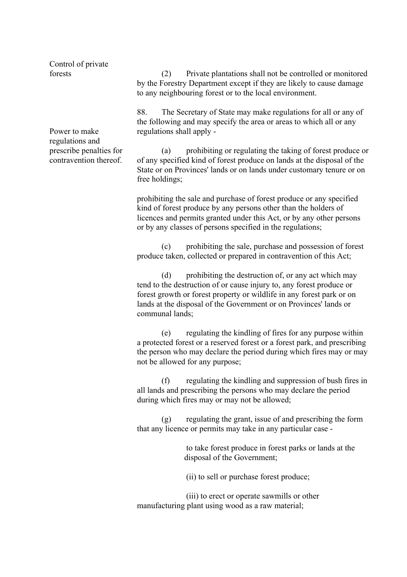Control of private forests

Power to make regulations and prescribe penalties for contravention thereof.

(2) Private plantations shall not be controlled or monitored by the Forestry Department except if they are likely to cause damage to any neighbouring forest or to the local environment.

88. The Secretary of State may make regulations for all or any of the following and may specify the area or areas to which all or any regulations shall apply -

(a) prohibiting or regulating the taking of forest produce or of any specified kind of forest produce on lands at the disposal of the State or on Provinces' lands or on lands under customary tenure or on free holdings;

prohibiting the sale and purchase of forest produce or any specified kind of forest produce by any persons other than the holders of licences and permits granted under this Act, or by any other persons or by any classes of persons specified in the regulations;

(c) prohibiting the sale, purchase and possession of forest produce taken, collected or prepared in contravention of this Act;

(d) prohibiting the destruction of, or any act which may tend to the destruction of or cause injury to, any forest produce or forest growth or forest property or wildlife in any forest park or on lands at the disposal of the Government or on Provinces' lands or communal lands;

(e) regulating the kindling of fires for any purpose within a protected forest or a reserved forest or a forest park, and prescribing the person who may declare the period during which fires may or may not be allowed for any purpose;

(f) regulating the kindling and suppression of bush fires in all lands and prescribing the persons who may declare the period during which fires may or may not be allowed;

(g) regulating the grant, issue of and prescribing the form that any licence or permits may take in any particular case -

> to take forest produce in forest parks or lands at the disposal of the Government;

(ii) to sell or purchase forest produce;

(iii) to erect or operate sawmills or other manufacturing plant using wood as a raw material;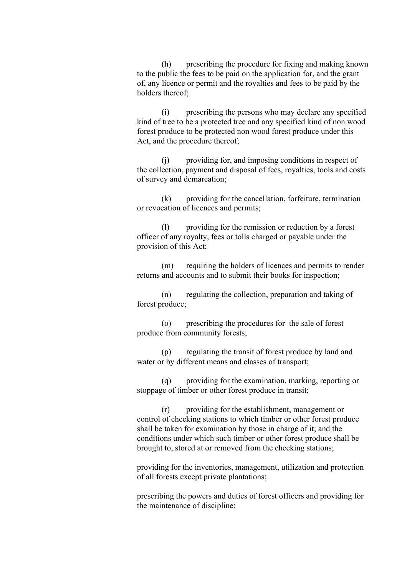(h) prescribing the procedure for fixing and making known to the public the fees to be paid on the application for, and the grant of, any licence or permit and the royalties and fees to be paid by the holders thereof;

(i) prescribing the persons who may declare any specified kind of tree to be a protected tree and any specified kind of non wood forest produce to be protected non wood forest produce under this Act, and the procedure thereof;

(j) providing for, and imposing conditions in respect of the collection, payment and disposal of fees, royalties, tools and costs of survey and demarcation;

(k) providing for the cancellation, forfeiture, termination or revocation of licences and permits;

(l) providing for the remission or reduction by a forest officer of any royalty, fees or tolls charged or payable under the provision of this Act;

(m) requiring the holders of licences and permits to render returns and accounts and to submit their books for inspection;

(n) regulating the collection, preparation and taking of forest produce;

(o) prescribing the procedures for the sale of forest produce from community forests;

(p) regulating the transit of forest produce by land and water or by different means and classes of transport;

(q) providing for the examination, marking, reporting or stoppage of timber or other forest produce in transit;

(r) providing for the establishment, management or control of checking stations to which timber or other forest produce shall be taken for examination by those in charge of it; and the conditions under which such timber or other forest produce shall be brought to, stored at or removed from the checking stations;

providing for the inventories, management, utilization and protection of all forests except private plantations;

prescribing the powers and duties of forest officers and providing for the maintenance of discipline;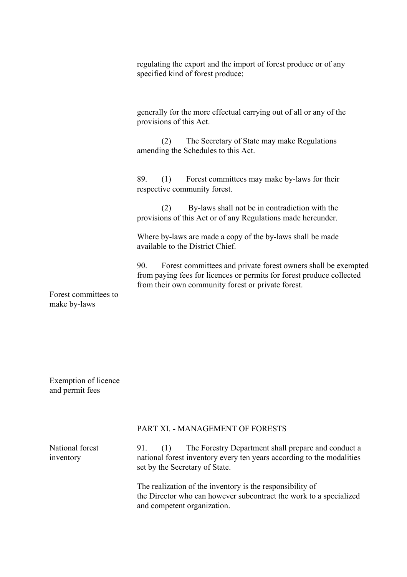regulating the export and the import of forest produce or of any specified kind of forest produce;

generally for the more effectual carrying out of all or any of the provisions of this Act.

(2) The Secretary of State may make Regulations amending the Schedules to this Act.

89. (1) Forest committees may make by-laws for their respective community forest.

(2) By-laws shall not be in contradiction with the provisions of this Act or of any Regulations made hereunder.

Where by-laws are made a copy of the by-laws shall be made available to the District Chief.

90. Forest committees and private forest owners shall be exempted from paying fees for licences or permits for forest produce collected from their own community forest or private forest.

Forest committees to make by-laws

Exemption of licence and permit fees

### PART XI. - MANAGEMENT OF FORESTS

| National forest<br>inventory | The Forestry Department shall prepare and conduct a<br>91.<br>national forest inventory every ten years according to the modalities<br>set by the Secretary of State. |
|------------------------------|-----------------------------------------------------------------------------------------------------------------------------------------------------------------------|
|                              | The realization of the inventory is the responsibility of<br>the Director who can however subcontract the work to a specialized<br>and competent organization.        |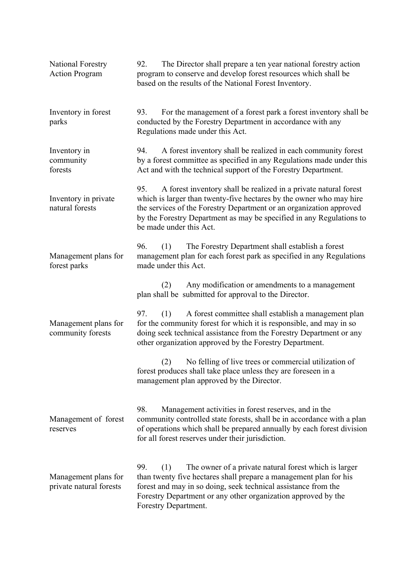| <b>National Forestry</b><br><b>Action Program</b> | The Director shall prepare a ten year national forestry action<br>92.<br>program to conserve and develop forest resources which shall be<br>based on the results of the National Forest Inventory.                                                                                                                       |
|---------------------------------------------------|--------------------------------------------------------------------------------------------------------------------------------------------------------------------------------------------------------------------------------------------------------------------------------------------------------------------------|
| Inventory in forest<br>parks                      | For the management of a forest park a forest inventory shall be<br>93.<br>conducted by the Forestry Department in accordance with any<br>Regulations made under this Act.                                                                                                                                                |
| Inventory in<br>community<br>forests              | A forest inventory shall be realized in each community forest<br>94.<br>by a forest committee as specified in any Regulations made under this<br>Act and with the technical support of the Forestry Department.                                                                                                          |
| Inventory in private<br>natural forests           | A forest inventory shall be realized in a private natural forest<br>95.<br>which is larger than twenty-five hectares by the owner who may hire<br>the services of the Forestry Department or an organization approved<br>by the Forestry Department as may be specified in any Regulations to<br>be made under this Act. |
| Management plans for<br>forest parks              | The Forestry Department shall establish a forest<br>96.<br>(1)<br>management plan for each forest park as specified in any Regulations<br>made under this Act.                                                                                                                                                           |
|                                                   | Any modification or amendments to a management<br>(2)<br>plan shall be submitted for approval to the Director.                                                                                                                                                                                                           |
| Management plans for<br>community forests         | A forest committee shall establish a management plan<br>97.<br>(1)<br>for the community forest for which it is responsible, and may in so<br>doing seek technical assistance from the Forestry Department or any<br>other organization approved by the Forestry Department.                                              |
|                                                   | No felling of live trees or commercial utilization of<br>(2)<br>forest produces shall take place unless they are foreseen in a<br>management plan approved by the Director.                                                                                                                                              |
| Management of forest<br>reserves                  | 98.<br>Management activities in forest reserves, and in the<br>community controlled state forests, shall be in accordance with a plan<br>of operations which shall be prepared annually by each forest division<br>for all forest reserves under their jurisdiction.                                                     |
| Management plans for<br>private natural forests   | 99.<br>The owner of a private natural forest which is larger<br>(1)<br>than twenty five hectares shall prepare a management plan for his<br>forest and may in so doing, seek technical assistance from the<br>Forestry Department or any other organization approved by the<br>Forestry Department.                      |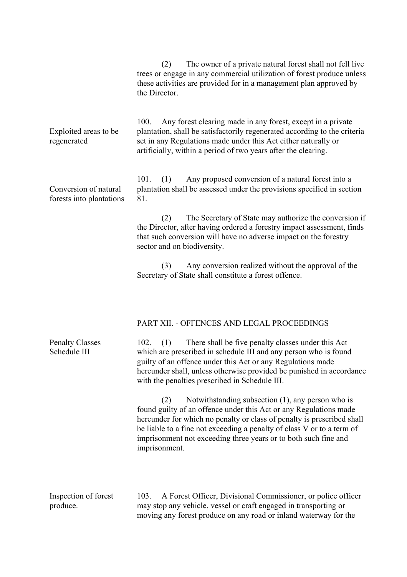|                                                   | The owner of a private natural forest shall not fell live<br>(2)<br>trees or engage in any commercial utilization of forest produce unless<br>these activities are provided for in a management plan approved by<br>the Director.                                                                                                                                        |
|---------------------------------------------------|--------------------------------------------------------------------------------------------------------------------------------------------------------------------------------------------------------------------------------------------------------------------------------------------------------------------------------------------------------------------------|
| Exploited areas to be<br>regenerated              | Any forest clearing made in any forest, except in a private<br>100.<br>plantation, shall be satisfactorily regenerated according to the criteria<br>set in any Regulations made under this Act either naturally or<br>artificially, within a period of two years after the clearing.                                                                                     |
| Conversion of natural<br>forests into plantations | Any proposed conversion of a natural forest into a<br>101.<br>(1)<br>plantation shall be assessed under the provisions specified in section<br>81.                                                                                                                                                                                                                       |
|                                                   | The Secretary of State may authorize the conversion if<br>(2)<br>the Director, after having ordered a forestry impact assessment, finds<br>that such conversion will have no adverse impact on the forestry<br>sector and on biodiversity.                                                                                                                               |
|                                                   | Any conversion realized without the approval of the<br>(3)<br>Secretary of State shall constitute a forest offence.                                                                                                                                                                                                                                                      |
|                                                   | PART XII. - OFFENCES AND LEGAL PROCEEDINGS                                                                                                                                                                                                                                                                                                                               |
| <b>Penalty Classes</b><br>Schedule III            | There shall be five penalty classes under this Act<br>$102.$ (1)<br>which are prescribed in schedule III and any person who is found<br>guilty of an offence under this Act or any Regulations made<br>hereunder shall, unless otherwise provided be punished in accordance<br>with the penalties prescribed in Schedule III.                                            |
|                                                   | Notwithstanding subsection $(1)$ , any person who is<br>(2)<br>found guilty of an offence under this Act or any Regulations made<br>hereunder for which no penalty or class of penalty is prescribed shall<br>be liable to a fine not exceeding a penalty of class V or to a term of<br>imprisonment not exceeding three years or to both such fine and<br>imprisonment. |
| Inspection of forest<br>produce.                  | A Forest Officer, Divisional Commissioner, or police officer<br>103.<br>may stop any vehicle, vessel or craft engaged in transporting or<br>moving any forest produce on any road or inland waterway for the                                                                                                                                                             |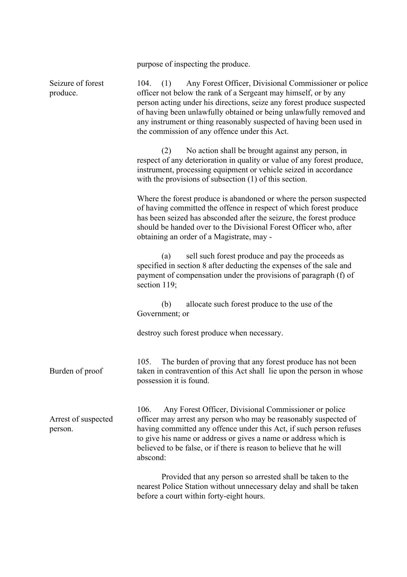purpose of inspecting the produce.

| Seizure of forest<br>produce.  | Any Forest Officer, Divisional Commissioner or police<br>(1)<br>104.<br>officer not below the rank of a Sergeant may himself, or by any<br>person acting under his directions, seize any forest produce suspected<br>of having been unlawfully obtained or being unlawfully removed and<br>any instrument or thing reasonably suspected of having been used in<br>the commission of any offence under this Act. |
|--------------------------------|-----------------------------------------------------------------------------------------------------------------------------------------------------------------------------------------------------------------------------------------------------------------------------------------------------------------------------------------------------------------------------------------------------------------|
|                                | No action shall be brought against any person, in<br>(2)<br>respect of any deterioration in quality or value of any forest produce,<br>instrument, processing equipment or vehicle seized in accordance<br>with the provisions of subsection $(1)$ of this section.                                                                                                                                             |
|                                | Where the forest produce is abandoned or where the person suspected<br>of having committed the offence in respect of which forest produce<br>has been seized has absconded after the seizure, the forest produce<br>should be handed over to the Divisional Forest Officer who, after<br>obtaining an order of a Magistrate, may -                                                                              |
|                                | sell such forest produce and pay the proceeds as<br>(a)<br>specified in section 8 after deducting the expenses of the sale and<br>payment of compensation under the provisions of paragraph (f) of<br>section 119;                                                                                                                                                                                              |
|                                | allocate such forest produce to the use of the<br>(b)<br>Government; or                                                                                                                                                                                                                                                                                                                                         |
|                                | destroy such forest produce when necessary.                                                                                                                                                                                                                                                                                                                                                                     |
| Burden of proof                | The burden of proving that any forest produce has not been<br>105.<br>taken in contravention of this Act shall lie upon the person in whose<br>possession it is found.                                                                                                                                                                                                                                          |
| Arrest of suspected<br>person. | 106.<br>Any Forest Officer, Divisional Commissioner or police<br>officer may arrest any person who may be reasonably suspected of<br>having committed any offence under this Act, if such person refuses<br>to give his name or address or gives a name or address which is<br>believed to be false, or if there is reason to believe that he will<br>abscond:                                                  |
|                                | Provided that any person so arrested shall be taken to the<br>nearest Police Station without unnecessary delay and shall be taken<br>before a court within forty-eight hours.                                                                                                                                                                                                                                   |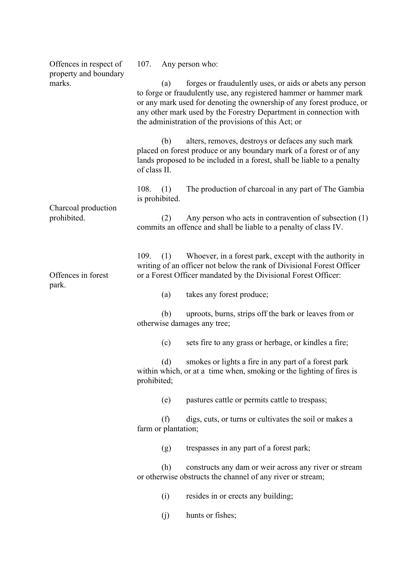| Offences in respect of          | 107.                                                                                                                                                                                                                                                                                                                                        |     | Any person who:                                                                                                                                                                                      |  |
|---------------------------------|---------------------------------------------------------------------------------------------------------------------------------------------------------------------------------------------------------------------------------------------------------------------------------------------------------------------------------------------|-----|------------------------------------------------------------------------------------------------------------------------------------------------------------------------------------------------------|--|
| property and boundary<br>marks. | forges or fraudulently uses, or aids or abets any person<br>(a)<br>to forge or fraudulently use, any registered hammer or hammer mark<br>or any mark used for denoting the ownership of any forest produce, or<br>any other mark used by the Forestry Department in connection with<br>the administration of the provisions of this Act; or |     |                                                                                                                                                                                                      |  |
|                                 | of class II.                                                                                                                                                                                                                                                                                                                                | (b) | alters, removes, destroys or defaces any such mark<br>placed on forest produce or any boundary mark of a forest or of any<br>lands proposed to be included in a forest, shall be liable to a penalty |  |
| Charcoal production             | 108.<br>is prohibited.                                                                                                                                                                                                                                                                                                                      | (1) | The production of charcoal in any part of The Gambia                                                                                                                                                 |  |
| prohibited.                     |                                                                                                                                                                                                                                                                                                                                             | (2) | Any person who acts in contravention of subsection (1)<br>commits an offence and shall be liable to a penalty of class IV.                                                                           |  |
| Offences in forest<br>park.     | 109.                                                                                                                                                                                                                                                                                                                                        | (1) | Whoever, in a forest park, except with the authority in<br>writing of an officer not below the rank of Divisional Forest Officer<br>or a Forest Officer mandated by the Divisional Forest Officer:   |  |
|                                 |                                                                                                                                                                                                                                                                                                                                             | (a) | takes any forest produce;                                                                                                                                                                            |  |
|                                 |                                                                                                                                                                                                                                                                                                                                             | (b) | uproots, burns, strips off the bark or leaves from or<br>otherwise damages any tree;                                                                                                                 |  |
|                                 |                                                                                                                                                                                                                                                                                                                                             | (c) | sets fire to any grass or herbage, or kindles a fire;                                                                                                                                                |  |
|                                 | prohibited;                                                                                                                                                                                                                                                                                                                                 |     | (d) smokes or lights a fire in any part of a forest park<br>within which, or at a time when, smoking or the lighting of fires is                                                                     |  |
|                                 |                                                                                                                                                                                                                                                                                                                                             | (e) | pastures cattle or permits cattle to trespass;                                                                                                                                                       |  |
|                                 | farm or plantation;                                                                                                                                                                                                                                                                                                                         | (f) | digs, cuts, or turns or cultivates the soil or makes a                                                                                                                                               |  |
|                                 |                                                                                                                                                                                                                                                                                                                                             | (g) | trespasses in any part of a forest park;                                                                                                                                                             |  |
|                                 |                                                                                                                                                                                                                                                                                                                                             | (h) | constructs any dam or weir across any river or stream<br>or otherwise obstructs the channel of any river or stream;                                                                                  |  |
|                                 |                                                                                                                                                                                                                                                                                                                                             | (i) | resides in or erects any building;                                                                                                                                                                   |  |
|                                 |                                                                                                                                                                                                                                                                                                                                             | (j) | hunts or fishes;                                                                                                                                                                                     |  |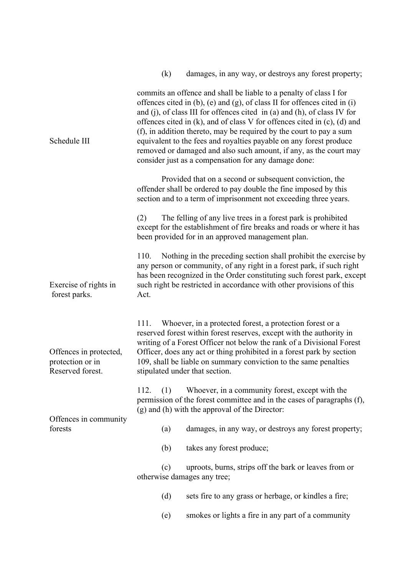|                                                                | (k)<br>damages, in any way, or destroys any forest property;                                                                                                                                                                                                                                                                                                                                                                                                                                                                                                                              |
|----------------------------------------------------------------|-------------------------------------------------------------------------------------------------------------------------------------------------------------------------------------------------------------------------------------------------------------------------------------------------------------------------------------------------------------------------------------------------------------------------------------------------------------------------------------------------------------------------------------------------------------------------------------------|
| Schedule III                                                   | commits an offence and shall be liable to a penalty of class I for<br>offences cited in (b), (e) and (g), of class II for offences cited in (i)<br>and (j), of class III for offences cited in (a) and (h), of class IV for<br>offences cited in $(k)$ , and of class V for offences cited in $(c)$ , $(d)$ and<br>(f), in addition thereto, may be required by the court to pay a sum<br>equivalent to the fees and royalties payable on any forest produce<br>removed or damaged and also such amount, if any, as the court may<br>consider just as a compensation for any damage done: |
|                                                                | Provided that on a second or subsequent conviction, the<br>offender shall be ordered to pay double the fine imposed by this<br>section and to a term of imprisonment not exceeding three years.                                                                                                                                                                                                                                                                                                                                                                                           |
|                                                                | The felling of any live trees in a forest park is prohibited<br>(2)<br>except for the establishment of fire breaks and roads or where it has<br>been provided for in an approved management plan.                                                                                                                                                                                                                                                                                                                                                                                         |
| Exercise of rights in<br>forest parks.                         | 110.<br>Nothing in the preceding section shall prohibit the exercise by<br>any person or community, of any right in a forest park, if such right<br>has been recognized in the Order constituting such forest park, except<br>such right be restricted in accordance with other provisions of this<br>Act.                                                                                                                                                                                                                                                                                |
| Offences in protected,<br>protection or in<br>Reserved forest. | Whoever, in a protected forest, a protection forest or a<br>111.<br>reserved forest within forest reserves, except with the authority in<br>writing of a Forest Officer not below the rank of a Divisional Forest<br>Officer, does any act or thing prohibited in a forest park by section<br>109, shall be liable on summary conviction to the same penalties<br>stipulated under that section.                                                                                                                                                                                          |
|                                                                | 112.<br>Whoever, in a community forest, except with the<br>(1)<br>permission of the forest committee and in the cases of paragraphs (f),<br>(g) and (h) with the approval of the Director:                                                                                                                                                                                                                                                                                                                                                                                                |
| Offences in community<br>forests                               | damages, in any way, or destroys any forest property;<br>(a)                                                                                                                                                                                                                                                                                                                                                                                                                                                                                                                              |
|                                                                | (b)<br>takes any forest produce;                                                                                                                                                                                                                                                                                                                                                                                                                                                                                                                                                          |
|                                                                | uproots, burns, strips off the bark or leaves from or<br>(c)<br>otherwise damages any tree;                                                                                                                                                                                                                                                                                                                                                                                                                                                                                               |
|                                                                | (d)<br>sets fire to any grass or herbage, or kindles a fire;                                                                                                                                                                                                                                                                                                                                                                                                                                                                                                                              |
|                                                                | smokes or lights a fire in any part of a community<br>(e)                                                                                                                                                                                                                                                                                                                                                                                                                                                                                                                                 |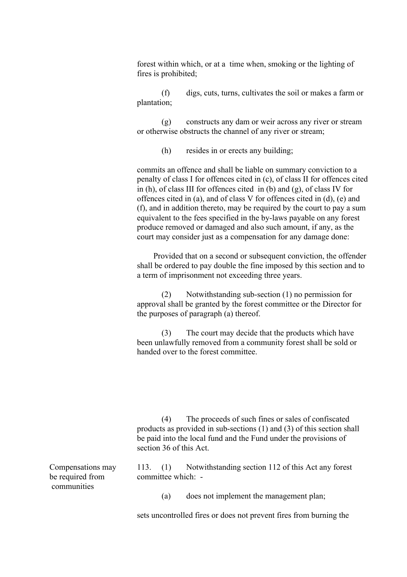forest within which, or at a time when, smoking or the lighting of fires is prohibited;

(f) digs, cuts, turns, cultivates the soil or makes a farm or plantation;

(g) constructs any dam or weir across any river or stream or otherwise obstructs the channel of any river or stream;

(h) resides in or erects any building;

commits an offence and shall be liable on summary conviction to a penalty of class I for offences cited in (c), of class II for offences cited in (h), of class III for offences cited in (b) and (g), of class IV for offences cited in (a), and of class V for offences cited in (d), (e) and (f), and in addition thereto, may be required by the court to pay a sum equivalent to the fees specified in the by-laws payable on any forest produce removed or damaged and also such amount, if any, as the court may consider just as a compensation for any damage done:

 Provided that on a second or subsequent conviction, the offender shall be ordered to pay double the fine imposed by this section and to a term of imprisonment not exceeding three years.

(2) Notwithstanding sub-section (1) no permission for approval shall be granted by the forest committee or the Director for the purposes of paragraph (a) thereof.

(3) The court may decide that the products which have been unlawfully removed from a community forest shall be sold or handed over to the forest committee.

(4) The proceeds of such fines or sales of confiscated products as provided in sub-sections (1) and (3) of this section shall be paid into the local fund and the Fund under the provisions of section 36 of this Act.

Compensations may be required from communities

113. (1) Notwithstanding section 112 of this Act any forest committee which: -

(a) does not implement the management plan;

sets uncontrolled fires or does not prevent fires from burning the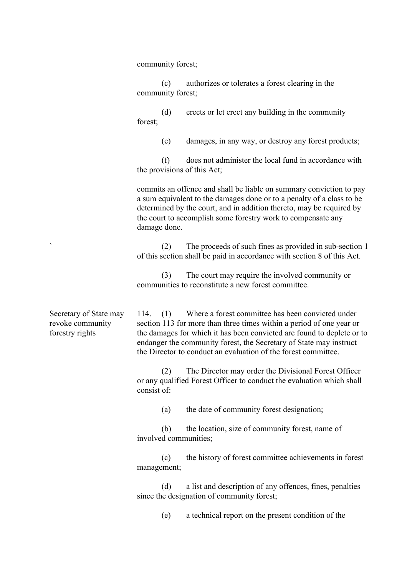community forest;

(c) authorizes or tolerates a forest clearing in the community forest;

(d) erects or let erect any building in the community forest;

(e) damages, in any way, or destroy any forest products;

(f) does not administer the local fund in accordance with the provisions of this Act;

commits an offence and shall be liable on summary conviction to pay a sum equivalent to the damages done or to a penalty of a class to be determined by the court, and in addition thereto, may be required by the court to accomplish some forestry work to compensate any damage done.

(2) The proceeds of such fines as provided in sub-section 1 of this section shall be paid in accordance with section 8 of this Act.

(3) The court may require the involved community or communities to reconstitute a new forest committee.

Secretary of State may revoke community forestry rights

`

114. (1) Where a forest committee has been convicted under section 113 for more than three times within a period of one year or the damages for which it has been convicted are found to deplete or to endanger the community forest, the Secretary of State may instruct the Director to conduct an evaluation of the forest committee.

(2) The Director may order the Divisional Forest Officer or any qualified Forest Officer to conduct the evaluation which shall consist of:

(a) the date of community forest designation;

(b) the location, size of community forest, name of involved communities;

(c) the history of forest committee achievements in forest management;

(d) a list and description of any offences, fines, penalties since the designation of community forest;

(e) a technical report on the present condition of the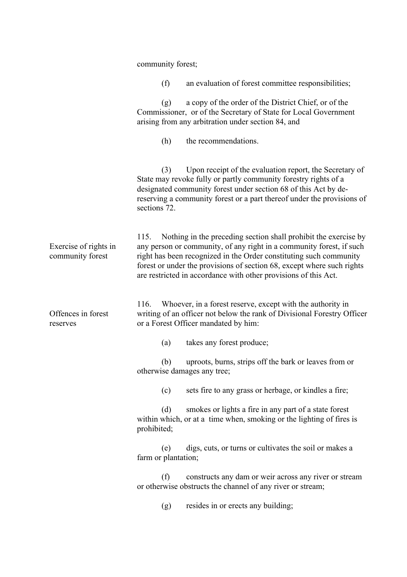|                                           | community forest;                                                                                                                                                                                                                                                                                                                                                  |
|-------------------------------------------|--------------------------------------------------------------------------------------------------------------------------------------------------------------------------------------------------------------------------------------------------------------------------------------------------------------------------------------------------------------------|
|                                           | (f)<br>an evaluation of forest committee responsibilities;                                                                                                                                                                                                                                                                                                         |
|                                           | a copy of the order of the District Chief, or of the<br>(g)<br>Commissioner, or of the Secretary of State for Local Government<br>arising from any arbitration under section 84, and                                                                                                                                                                               |
|                                           | the recommendations.<br>(h)                                                                                                                                                                                                                                                                                                                                        |
|                                           | Upon receipt of the evaluation report, the Secretary of<br>(3)<br>State may revoke fully or partly community forestry rights of a<br>designated community forest under section 68 of this Act by de-<br>reserving a community forest or a part thereof under the provisions of<br>sections 72.                                                                     |
| Exercise of rights in<br>community forest | Nothing in the preceding section shall prohibit the exercise by<br>115.<br>any person or community, of any right in a community forest, if such<br>right has been recognized in the Order constituting such community<br>forest or under the provisions of section 68, except where such rights<br>are restricted in accordance with other provisions of this Act. |
| Offences in forest<br>reserves            | Whoever, in a forest reserve, except with the authority in<br>116.<br>writing of an officer not below the rank of Divisional Forestry Officer<br>or a Forest Officer mandated by him:                                                                                                                                                                              |
|                                           | takes any forest produce;<br>(a)                                                                                                                                                                                                                                                                                                                                   |
|                                           | uproots, burns, strips off the bark or leaves from or<br>(b)<br>otherwise damages any tree;                                                                                                                                                                                                                                                                        |
|                                           | sets fire to any grass or herbage, or kindles a fire;<br>(c)                                                                                                                                                                                                                                                                                                       |
|                                           | (d)<br>smokes or lights a fire in any part of a state forest<br>within which, or at a time when, smoking or the lighting of fires is<br>prohibited;                                                                                                                                                                                                                |
|                                           | digs, cuts, or turns or cultivates the soil or makes a<br>(e)<br>farm or plantation;                                                                                                                                                                                                                                                                               |
|                                           | constructs any dam or weir across any river or stream<br>(f)<br>or otherwise obstructs the channel of any river or stream;                                                                                                                                                                                                                                         |
|                                           | resides in or erects any building;<br>(g)                                                                                                                                                                                                                                                                                                                          |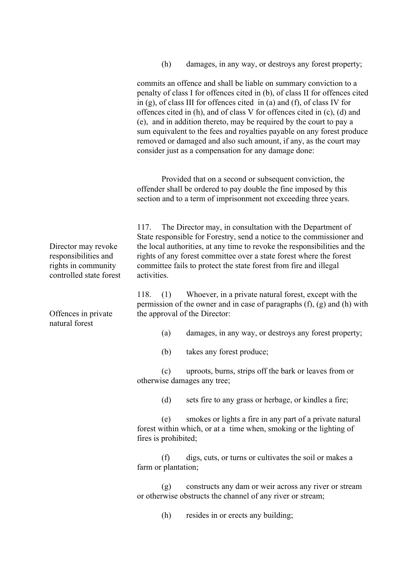(h) damages, in any way, or destroys any forest property;

commits an offence and shall be liable on summary conviction to a penalty of class I for offences cited in (b), of class II for offences cited in (g), of class III for offences cited in (a) and (f), of class IV for offences cited in (h), and of class V for offences cited in (c), (d) and (e), and in addition thereto, may be required by the court to pay a sum equivalent to the fees and royalties payable on any forest produce removed or damaged and also such amount, if any, as the court may consider just as a compensation for any damage done:

Provided that on a second or subsequent conviction, the offender shall be ordered to pay double the fine imposed by this section and to a term of imprisonment not exceeding three years.

117. The Director may, in consultation with the Department of State responsible for Forestry, send a notice to the commissioner and the local authorities, at any time to revoke the responsibilities and the rights of any forest committee over a state forest where the forest committee fails to protect the state forest from fire and illegal activities.

118. (1) Whoever, in a private natural forest, except with the permission of the owner and in case of paragraphs (f), (g) and (h) with the approval of the Director:

- (a) damages, in any way, or destroys any forest property;
- (b) takes any forest produce;

(c) uproots, burns, strips off the bark or leaves from or otherwise damages any tree;

(d) sets fire to any grass or herbage, or kindles a fire;

(e) smokes or lights a fire in any part of a private natural forest within which, or at a time when, smoking or the lighting of fires is prohibited;

(f) digs, cuts, or turns or cultivates the soil or makes a farm or plantation;

(g) constructs any dam or weir across any river or stream or otherwise obstructs the channel of any river or stream;

(h) resides in or erects any building;

Director may revoke responsibilities and rights in community controlled state forest

Offences in private natural forest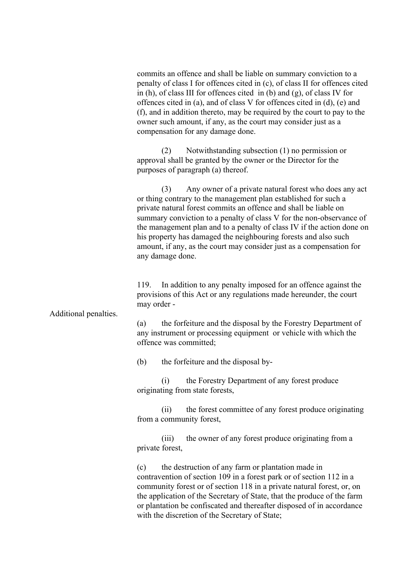Additional penalties. commits an offence and shall be liable on summary conviction to a penalty of class I for offences cited in (c), of class II for offences cited in (h), of class III for offences cited in (b) and (g), of class IV for offences cited in (a), and of class V for offences cited in (d), (e) and (f), and in addition thereto, may be required by the court to pay to the owner such amount, if any, as the court may consider just as a compensation for any damage done. (2) Notwithstanding subsection (1) no permission or approval shall be granted by the owner or the Director for the purposes of paragraph (a) thereof. (3) Any owner of a private natural forest who does any act or thing contrary to the management plan established for such a private natural forest commits an offence and shall be liable on summary conviction to a penalty of class V for the non-observance of the management plan and to a penalty of class IV if the action done on his property has damaged the neighbouring forests and also such amount, if any, as the court may consider just as a compensation for any damage done. 119. In addition to any penalty imposed for an offence against the provisions of this Act or any regulations made hereunder, the court may order - (a) the forfeiture and the disposal by the Forestry Department of any instrument or processing equipment or vehicle with which the offence was committed; (b) the forfeiture and the disposal by- (i) the Forestry Department of any forest produce originating from state forests, (ii) the forest committee of any forest produce originating from a community forest, (iii) the owner of any forest produce originating from a private forest, (c) the destruction of any farm or plantation made in contravention of section 109 in a forest park or of section 112 in a community forest or of section 118 in a private natural forest, or, on the application of the Secretary of State, that the produce of the farm or plantation be confiscated and thereafter disposed of in accordance with the discretion of the Secretary of State;